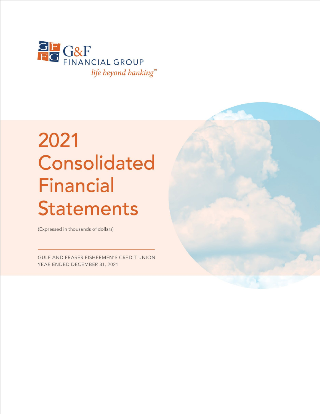

# 2021 **Consolidated Financial Statements**

(Expressed in thousands of dollars)

GULF AND FRASER FISHERMEN'S CREDIT UNION YEAR ENDED DECEMBER 31, 2021

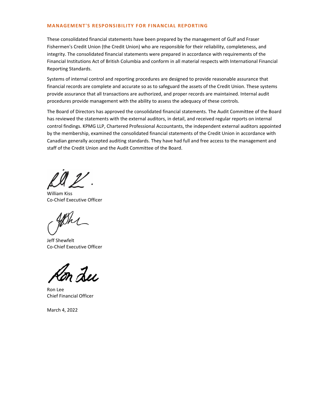### **MANAGEMENT'S RESPONSIBILITY FOR FINANCIAL REPORTING**

These consolidated financial statements have been prepared by the management of Gulf and Fraser Fishermen's Credit Union (the Credit Union) who are responsible for their reliability, completeness, and integrity. The consolidated financial statements were prepared in accordance with requirements of the Financial Institutions Act of British Columbia and conform in all material respects with International Financial Reporting Standards.

Systems of internal control and reporting procedures are designed to provide reasonable assurance that financial records are complete and accurate so as to safeguard the assets of the Credit Union. These systems provide assurance that all transactions are authorized, and proper records are maintained. Internal audit procedures provide management with the ability to assess the adequacy of these controls.

The Board of Directors has approved the consolidated financial statements. The Audit Committee of the Board has reviewed the statements with the external auditors, in detail, and received regular reports on internal control findings. KPMG LLP, Chartered Professional Accountants, the independent external auditors appointed by the membership, examined the consolidated financial statements of the Credit Union in accordance with Canadian generally accepted auditing standards. They have had full and free access to the management and staff of the Credit Union and the Audit Committee of the Board.

William Kiss Co-Chief Executive Officer

 $v_{k}$ 

Jeff Shewfelt Co-Chief Executive Officer

m Lu

Ron Lee Chief Financial Officer

March 4, 2022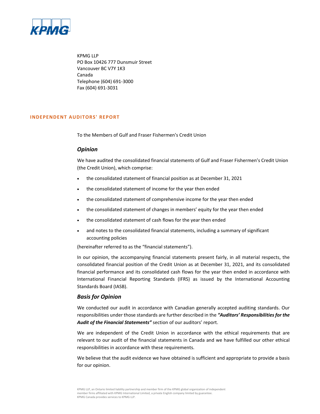![](_page_2_Picture_0.jpeg)

KPMG LLP PO Box 10426 777 Dunsmuir Street Vancouver BC V7Y 1K3 Canada Telephone (604) 691-3000 Fax (604) 691-3031

### **INDEPENDENT AUDITORS' REPORT**

To the Members of Gulf and Fraser Fishermen's Credit Union

### *Opinion*

We have audited the consolidated financial statements of Gulf and Fraser Fishermen's Credit Union (the Credit Union), which comprise:

- the consolidated statement of financial position as at December 31, 2021
- the consolidated statement of income for the year then ended
- the consolidated statement of comprehensive income for the year then ended
- the consolidated statement of changes in members' equity for the year then ended
- the consolidated statement of cash flows for the year then ended
- and notes to the consolidated financial statements, including a summary of significant accounting policies

(hereinafter referred to as the "financial statements").

In our opinion, the accompanying financial statements present fairly, in all material respects, the consolidated financial position of the Credit Union as at December 31, 2021, and its consolidated financial performance and its consolidated cash flows for the year then ended in accordance with International Financial Reporting Standards (IFRS) as issued by the International Accounting Standards Board (IASB).

### *Basis for Opinion*

We conducted our audit in accordance with Canadian generally accepted auditing standards. Our responsibilities under those standards are further described in the *"Auditors' Responsibilities for the Audit of the Financial Statements"* section of our auditors' report.

We are independent of the Credit Union in accordance with the ethical requirements that are relevant to our audit of the financial statements in Canada and we have fulfilled our other ethical responsibilities in accordance with these requirements.

We believe that the audit evidence we have obtained is sufficient and appropriate to provide a basis for our opinion.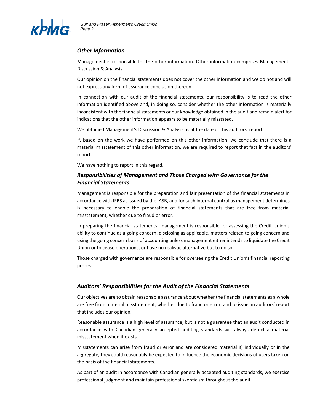![](_page_3_Picture_0.jpeg)

### *Other Information*

Management is responsible for the other information. Other information comprises Management's Discussion & Analysis.

Our opinion on the financial statements does not cover the other information and we do not and will not express any form of assurance conclusion thereon.

In connection with our audit of the financial statements, our responsibility is to read the other information identified above and, in doing so, consider whether the other information is materially inconsistent with the financial statements or our knowledge obtained in the audit and remain alert for indications that the other information appears to be materially misstated.

We obtained Management's Discussion & Analysis as at the date of this auditors' report.

If, based on the work we have performed on this other information, we conclude that there is a material misstatement of this other information, we are required to report that fact in the auditors' report.

We have nothing to report in this regard.

### *Responsibilities of Management and Those Charged with Governance for the Financial Statements*

Management is responsible for the preparation and fair presentation of the financial statements in accordance with IFRS as issued by the IASB, and for such internal control as management determines is necessary to enable the preparation of financial statements that are free from material misstatement, whether due to fraud or error.

In preparing the financial statements, management is responsible for assessing the Credit Union's ability to continue as a going concern, disclosing as applicable, matters related to going concern and using the going concern basis of accounting unless management either intends to liquidate the Credit Union or to cease operations, or have no realistic alternative but to do so.

Those charged with governance are responsible for overseeing the Credit Union's financial reporting process.

### *Auditors' Responsibilities for the Audit of the Financial Statements*

Our objectives are to obtain reasonable assurance about whether the financial statements as a whole are free from material misstatement, whether due to fraud or error, and to issue an auditors' report that includes our opinion.

Reasonable assurance is a high level of assurance, but is not a guarantee that an audit conducted in accordance with Canadian generally accepted auditing standards will always detect a material misstatement when it exists.

Misstatements can arise from fraud or error and are considered material if, individually or in the aggregate, they could reasonably be expected to influence the economic decisions of users taken on the basis of the financial statements.

As part of an audit in accordance with Canadian generally accepted auditing standards, we exercise professional judgment and maintain professional skepticism throughout the audit.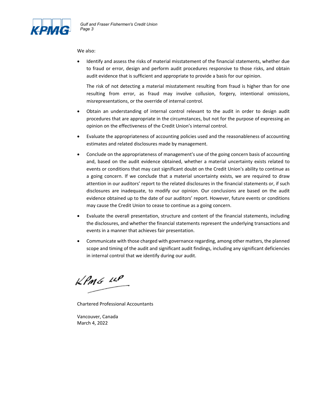![](_page_4_Picture_0.jpeg)

### We also:

• Identify and assess the risks of material misstatement of the financial statements, whether due to fraud or error, design and perform audit procedures responsive to those risks, and obtain audit evidence that is sufficient and appropriate to provide a basis for our opinion.

The risk of not detecting a material misstatement resulting from fraud is higher than for one resulting from error, as fraud may involve collusion, forgery, intentional omissions, misrepresentations, or the override of internal control.

- Obtain an understanding of internal control relevant to the audit in order to design audit procedures that are appropriate in the circumstances, but not for the purpose of expressing an opinion on the effectiveness of the Credit Union's internal control.
- Evaluate the appropriateness of accounting policies used and the reasonableness of accounting estimates and related disclosures made by management.
- Conclude on the appropriateness of management's use of the going concern basis of accounting and, based on the audit evidence obtained, whether a material uncertainty exists related to events or conditions that may cast significant doubt on the Credit Union's ability to continue as a going concern. If we conclude that a material uncertainty exists, we are required to draw attention in our auditors' report to the related disclosures in the financial statements or, if such disclosures are inadequate, to modify our opinion. Our conclusions are based on the audit evidence obtained up to the date of our auditors' report. However, future events or conditions may cause the Credit Union to cease to continue as a going concern.
- Evaluate the overall presentation, structure and content of the financial statements, including the disclosures, and whether the financial statements represent the underlying transactions and events in a manner that achieves fair presentation.
- Communicate with those charged with governance regarding, among other matters, the planned scope and timing of the audit and significant audit findings, including any significant deficiencies in internal control that we identify during our audit.

 $k$ *Pm<sub>6</sub>*  $\mu$ <sup>P</sup>

Chartered Professional Accountants

Vancouver, Canada March 4, 2022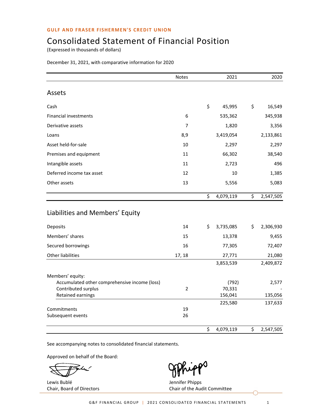# Consolidated Statement of Financial Position

(Expressed in thousands of dollars)

| December 31, 2021, with comparative information for 2020 |  |  |  |
|----------------------------------------------------------|--|--|--|
|----------------------------------------------------------|--|--|--|

|                                                                                                               | <b>Notes</b>   | 2021                       |     | 2020             |
|---------------------------------------------------------------------------------------------------------------|----------------|----------------------------|-----|------------------|
| Assets                                                                                                        |                |                            |     |                  |
| Cash                                                                                                          |                | \$<br>45,995               | \$  | 16,549           |
| <b>Financial investments</b>                                                                                  | 6              | 535,362                    |     | 345,938          |
| Derivative assets                                                                                             | 7              | 1,820                      |     | 3,356            |
| Loans                                                                                                         | 8,9            | 3,419,054                  |     | 2,133,861        |
| Asset held-for-sale                                                                                           | 10             | 2,297                      |     | 2,297            |
| Premises and equipment                                                                                        | 11             | 66,302                     |     | 38,540           |
| Intangible assets                                                                                             | 11             | 2,723                      |     | 496              |
| Deferred income tax asset                                                                                     | 12             | 10                         |     | 1,385            |
| Other assets                                                                                                  | 13             | 5,556                      |     | 5,083            |
|                                                                                                               |                | \$<br>4,079,119            | \$  | 2,547,505        |
| Liabilities and Members' Equity                                                                               |                |                            |     |                  |
| Deposits                                                                                                      | 14             | \$<br>3,735,085            | \$. | 2,306,930        |
| Members' shares                                                                                               | 15             | 13,378                     |     | 9,455            |
| Secured borrowings                                                                                            | 16             | 77,305                     |     | 72,407           |
| <b>Other liabilities</b>                                                                                      | 17, 18         | 27,771                     |     | 21,080           |
|                                                                                                               |                | 3,853,539                  |     | 2,409,872        |
| Members' equity:<br>Accumulated other comprehensive income (loss)<br>Contributed surplus<br>Retained earnings | $\overline{2}$ | (792)<br>70,331<br>156,041 |     | 2,577<br>135,056 |
|                                                                                                               |                | 225,580                    |     | 137,633          |
| Commitments<br>Subsequent events                                                                              | 19<br>26       |                            |     |                  |
|                                                                                                               |                | \$<br>4,079,119            | \$  | 2,547,505        |

See accompanying notes to consolidated financial statements.

Approved on behalf of the Board:

Lewis Bublé **Vertex and Service Contracts** Service Jennifer Phipps

Chair, Board of Directors Chair of the Audit Committee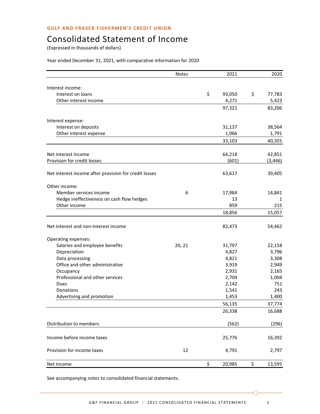# Consolidated Statement of Income

(Expressed in thousands of dollars)

### Year ended December 31, 2021, with comparative information for 2020

|                                                       | <b>Notes</b> | 2021         | 2020         |
|-------------------------------------------------------|--------------|--------------|--------------|
|                                                       |              |              |              |
| Interest income:                                      |              |              |              |
| Interest on loans                                     |              | \$<br>93,050 | \$<br>77,783 |
| Other interest income                                 |              | 4,271        | 5,423        |
|                                                       |              | 97,321       | 83,206       |
| Interest expense:                                     |              |              |              |
| Interest on deposits                                  |              | 31,137       | 38,564       |
| Other interest expense                                |              | 1,966        | 1,791        |
|                                                       |              | 33,103       | 40,355       |
| Net interest income                                   |              | 64,218       | 42,851       |
| <b>Provision for credit losses</b>                    |              | (601)        | (3, 446)     |
|                                                       |              |              |              |
| Net interest income after provision for credit losses |              | 63,617       | 39,405       |
| Other income:                                         |              |              |              |
| Member services income                                | 6            | 17,984       | 14,841       |
| Hedge ineffectiveness on cash flow hedges             |              | 13           | 1            |
| Other income                                          |              | 859          | 215          |
|                                                       |              | 18,856       | 15,057       |
| Net interest and non-interest income                  |              | 82,473       | 54,462       |
| Operating expenses:                                   |              |              |              |
| Salaries and employee benefits                        | 20, 21       | 31,797       | 22,158       |
| Depreciation                                          |              | 4,827        | 3,796        |
| Data processing                                       |              | 4,821        | 3,308        |
| Office and other administrative                       |              | 3,919        | 2,949        |
| Occupancy                                             |              | 2,931        | 2,165        |
| Professional and other services                       |              | 2,704        | 1,004        |
| Dues                                                  |              | 2,142        | 751          |
| Donations                                             |              | 1,541        | 243          |
| Advertising and promotion                             |              | 1,453        | 1,400        |
|                                                       |              | 56,135       | 37,774       |
|                                                       |              | 26,338       | 16,688       |
| Distribution to members                               |              | (562)        | (296)        |
| Income before income taxes                            |              | 25,776       | 16,392       |
| Provision for income taxes                            | 12           | 4,791        | 2,797        |
| Net income                                            |              | \$<br>20,985 | \$<br>13,595 |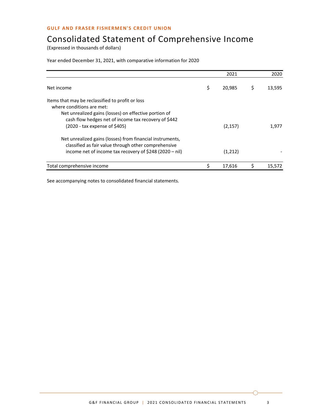# Consolidated Statement of Comprehensive Income

(Expressed in thousands of dollars)

### Year ended December 31, 2021, with comparative information for 2020

|                                                                                                                                                                                                                                 | 2021         |   | 2020   |
|---------------------------------------------------------------------------------------------------------------------------------------------------------------------------------------------------------------------------------|--------------|---|--------|
| Net income                                                                                                                                                                                                                      | \$<br>20,985 | Ş | 13,595 |
| Items that may be reclassified to profit or loss<br>where conditions are met:<br>Net unrealized gains (losses) on effective portion of<br>cash flow hedges net of income tax recovery of \$442<br>(2020 - tax expense of \$405) | (2, 157)     |   | 1.977  |
| Net unrealized gains (losses) from financial instruments,<br>classified as fair value through other comprehensive<br>income net of income tax recovery of \$248 (2020 - nil)                                                    | (1,212)      |   |        |
| Total comprehensive income                                                                                                                                                                                                      | 17.616       |   | 15.572 |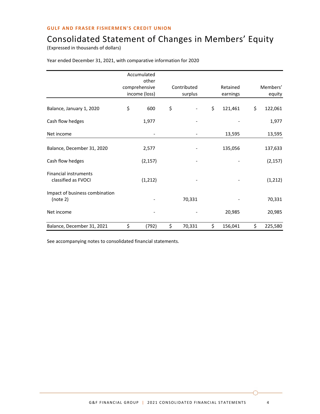# Consolidated Statement of Changes in Members' Equity

(Expressed in thousands of dollars)

|                                                     | Accumulated<br>other           |                        |                      |                    |
|-----------------------------------------------------|--------------------------------|------------------------|----------------------|--------------------|
|                                                     | comprehensive<br>income (loss) | Contributed<br>surplus | Retained<br>earnings | Members'<br>equity |
| Balance, January 1, 2020                            | \$<br>600                      | \$                     | \$<br>121,461        | \$<br>122,061      |
| Cash flow hedges                                    | 1,977                          |                        |                      | 1,977              |
| Net income                                          |                                |                        | 13,595               | 13,595             |
| Balance, December 31, 2020                          | 2,577                          |                        | 135,056              | 137,633            |
| Cash flow hedges                                    | (2, 157)                       |                        |                      | (2, 157)           |
| <b>Financial instruments</b><br>classified as FVOCI | (1, 212)                       |                        |                      | (1, 212)           |
| Impact of business combination<br>(note 2)          |                                | 70,331                 |                      | 70,331             |
| Net income                                          |                                |                        | 20,985               | 20,985             |
| Balance, December 31, 2021                          | \$<br>(792)                    | \$<br>70,331           | \$<br>156,041        | \$<br>225,580      |

Year ended December 31, 2021, with comparative information for 2020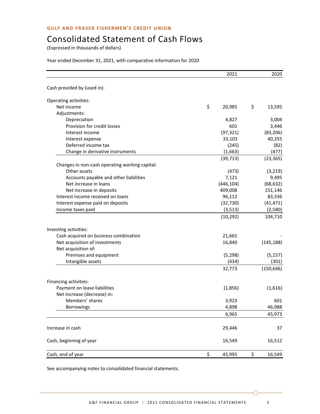# Consolidated Statement of Cash Flows

(Expressed in thousands of dollars)

### Year ended December 31, 2021, with comparative information for 2020

|                                                | 2021         | 2020         |
|------------------------------------------------|--------------|--------------|
| Cash provided by (used in):                    |              |              |
| Operating activities:                          |              |              |
| Net income                                     | \$<br>20,985 | \$<br>13,595 |
| Adjustments:                                   |              |              |
| Depreciation                                   | 4,827        | 3,004        |
| Provision for credit losses                    | 601          | 3,446        |
| Interest income                                | (97, 321)    | (83, 206)    |
| Interest expense                               | 33,103       | 40,355       |
| Deferred income tax                            | (245)        | (82)         |
| Change in derivative instruments               | (1,663)      | (477)        |
|                                                | (39, 713)    | (23, 365)    |
| Changes in non-cash operating working capital: |              |              |
| Other assets                                   | (473)        | (3, 219)     |
| Accounts payable and other liabilities         | 7,121        | 9,495        |
| Net increase in loans                          | (446, 104)   | (68, 632)    |
| Net increase in deposits                       | 409,008      | 151,146      |
| Interest income received on loans              | 96,112       | 83,336       |
| Interest expense paid on deposits              | (32, 730)    | (41, 471)    |
| Income taxes paid                              | (3,513)      | (2,580)      |
|                                                | (10, 292)    | 104,710      |
| Investing activities:                          |              |              |
| Cash acquired on business combination          | 21,665       |              |
| Net acquisition of investments                 | 16,840       | (145, 188)   |
| Net acquisition of:                            |              |              |
| Premises and equipment                         | (5, 298)     | (5, 157)     |
| Intangible assets                              | (434)        | (301)        |
|                                                | 32,773       | (150, 646)   |
| Financing activities:                          |              |              |
| Payment on lease liabilities                   | (1,856)      | (1,616)      |
| Net increase (decrease) in:                    |              |              |
| Members' shares                                | 3,923        | 601          |
| Borrowings                                     | 4,898        | 46,988       |
|                                                | 6,965        | 45,973       |
| Increase in cash                               | 29,446       | 37           |
| Cash, beginning of year                        | 16,549       | 16,512       |
| Cash, end of year                              | \$<br>45,995 | \$<br>16,549 |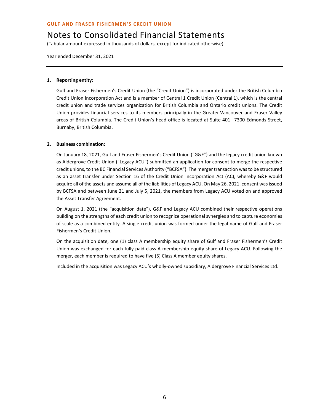(Tabular amount expressed in thousands of dollars, except for indicated otherwise)

Year ended December 31, 2021

### **1. Reporting entity:**

Gulf and Fraser Fishermen's Credit Union (the "Credit Union") is incorporated under the British Columbia Credit Union Incorporation Act and is a member of Central 1 Credit Union (Central 1), which is the central credit union and trade services organization for British Columbia and Ontario credit unions. The Credit Union provides financial services to its members principally in the Greater Vancouver and Fraser Valley areas of British Columbia. The Credit Union's head office is located at Suite 401 - 7300 Edmonds Street, Burnaby, British Columbia.

### **2. Business combination:**

On January 18, 2021, Gulf and Fraser Fishermen's Credit Union ("G&F") and the legacy credit union known as Aldergrove Credit Union ("Legacy ACU") submitted an application for consent to merge the respective credit unions, to the BC Financial Services Authority ("BCFSA"). The merger transaction was to be structured as an asset transfer under Section 16 of the Credit Union Incorporation Act (AC), whereby G&F would acquire all of the assets and assume all of the liabilities of Legacy ACU. On May 26, 2021, consent was issued by BCFSA and between June 21 and July 5, 2021, the members from Legacy ACU voted on and approved the Asset Transfer Agreement.

On August 1, 2021 (the "acquisition date"), G&F and Legacy ACU combined their respective operations building on the strengths of each credit union to recognize operational synergies and to capture economies of scale as a combined entity. A single credit union was formed under the legal name of Gulf and Fraser Fishermen's Credit Union.

On the acquisition date, one (1) class A membership equity share of Gulf and Fraser Fishermen's Credit Union was exchanged for each fully paid class A membership equity share of Legacy ACU. Following the merger, each member is required to have five (5) Class A member equity shares.

Included in the acquisition was Legacy ACU's wholly-owned subsidiary, Aldergrove Financial Services Ltd.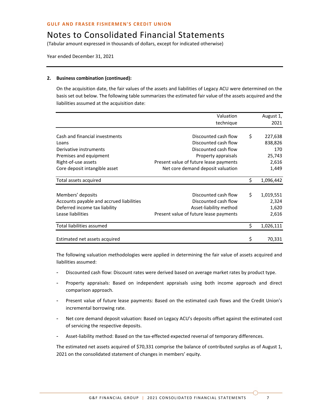(Tabular amount expressed in thousands of dollars, except for indicated otherwise)

Year ended December 31, 2021

### **2. Business combination (continued):**

On the acquisition date, the fair values of the assets and liabilities of Legacy ACU were determined on the basis set out below. The following table summarizes the estimated fair value of the assets acquired and the liabilities assumed at the acquisition date:

|                                          | Valuation                              | August 1,       |
|------------------------------------------|----------------------------------------|-----------------|
|                                          | technique                              | 2021            |
|                                          |                                        |                 |
| Cash and financial investments           | Discounted cash flow                   | \$<br>227,638   |
| Loans                                    | Discounted cash flow                   | 838,826         |
| Derivative instruments                   | Discounted cash flow                   | 170             |
| Premises and equipment                   | Property appraisals                    | 25,743          |
| Right-of-use assets                      | Present value of future lease payments | 2,616           |
| Core deposit intangible asset            | Net core demand deposit valuation      | 1,449           |
| Total assets acquired                    |                                        | \$<br>1,096,442 |
|                                          |                                        |                 |
| Members' deposits                        | Discounted cash flow                   | \$<br>1,019,551 |
| Accounts payable and accrued liabilities | Discounted cash flow                   | 2,324           |
| Deferred income tax liability            | Asset-liability method                 | 1,620           |
| Lease liabilities                        | Present value of future lease payments | 2,616           |
| Total liabilities assumed                |                                        | \$<br>1,026,111 |
|                                          |                                        |                 |
| Estimated net assets acquired            |                                        | \$<br>70,331    |

The following valuation methodologies were applied in determining the fair value of assets acquired and liabilities assumed:

- Discounted cash flow: Discount rates were derived based on average market rates by product type.
- Property appraisals: Based on independent appraisals using both income approach and direct comparison approach.
- Present value of future lease payments: Based on the estimated cash flows and the Credit Union's incremental borrowing rate.
- Net core demand deposit valuation: Based on Legacy ACU's deposits offset against the estimated cost of servicing the respective deposits.
- Asset-liability method: Based on the tax-effected expected reversal of temporary differences.

The estimated net assets acquired of \$70,331 comprise the balance of contributed surplus as of August 1, 2021 on the consolidated statement of changes in members' equity.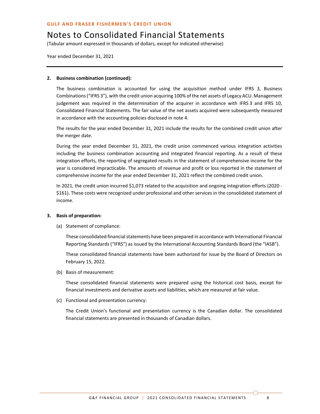(Tabular amount expressed in thousands of dollars, except for indicated otherwise)

Year ended December 31, 2021

### **2. Business combination (continued):**

The business combination is accounted for using the acquisition method under IFRS 3, Business Combinations ("IFRS 3"), with the credit union acquiring 100% of the net assets of Legacy ACU. Management judgement was required in the determination of the acquirer in accordance with IFRS 3 and IFRS 10, Consolidated Financial Statements. The fair value of the net assets acquired were subsequently measured in accordance with the accounting policies disclosed in note 4.

The results for the year ended December 31, 2021 include the results for the combined credit union after the merger date.

During the year ended December 31, 2021, the credit union commenced various integration activities including the business combination accounting and integrated financial reporting. As a result of these integration efforts, the reporting of segregated results in the statement of comprehensive income for the year is considered impracticable. The amounts of revenue and profit or loss reported in the statement of comprehensive income for the year ended December 31, 2021 reflect the combined credit union.

In 2021, the credit union incurred \$1,073 related to the acquisition and ongoing integration efforts (2020 - \$161). These costs were recognized under professional and other services in the consolidated statement of income.

### **3. Basis of preparation:**

(a) Statement of compliance:

These consolidated financial statements have been prepared in accordance with International Financial Reporting Standards ("IFRS") as issued by the International Accounting Standards Board (the "IASB").

These consolidated financial statements have been authorized for issue by the Board of Directors on February 15, 2022.

(b) Basis of measurement:

These consolidated financial statements were prepared using the historical cost basis, except for financial investments and derivative assets and liabilities, which are measured at fair value.

(c) Functional and presentation currency:

The Credit Union's functional and presentation currency is the Canadian dollar. The consolidated financial statements are presented in thousands of Canadian dollars.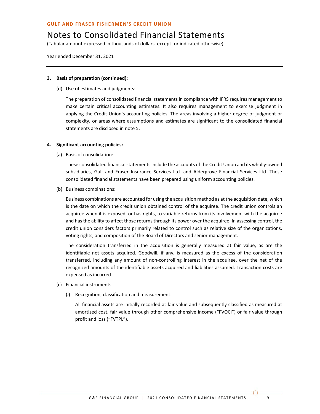(Tabular amount expressed in thousands of dollars, except for indicated otherwise)

Year ended December 31, 2021

### **3. Basis of preparation (continued):**

(d) Use of estimates and judgments:

The preparation of consolidated financial statements in compliance with IFRS requires management to make certain critical accounting estimates. It also requires management to exercise judgment in applying the Credit Union's accounting policies. The areas involving a higher degree of judgment or complexity, or areas where assumptions and estimates are significant to the consolidated financial statements are disclosed in note 5.

### **4. Significant accounting policies:**

(a) Basis of consolidation:

These consolidated financial statements include the accounts of the Credit Union and its wholly-owned subsidiaries, Gulf and Fraser Insurance Services Ltd. and Aldergrove Financial Services Ltd. These consolidated financial statements have been prepared using uniform accounting policies.

(b) Business combinations:

Business combinations are accounted for using the acquisition method as at the acquisition date, which is the date on which the credit union obtained control of the acquiree. The credit union controls an acquiree when it is exposed, or has rights, to variable returns from its involvement with the acquiree and has the ability to affect those returns through its power over the acquiree. In assessing control, the credit union considers factors primarily related to control such as relative size of the organizations, voting rights, and composition of the Board of Directors and senior management.

The consideration transferred in the acquisition is generally measured at fair value, as are the identifiable net assets acquired. Goodwill, if any, is measured as the excess of the consideration transferred, including any amount of non-controlling interest in the acquiree, over the net of the recognized amounts of the identifiable assets acquired and liabilities assumed. Transaction costs are expensed as incurred.

- (c) Financial instruments:
	- (*i*) Recognition, classification and measurement:

All financial assets are initially recorded at fair value and subsequently classified as measured at amortized cost, fair value through other comprehensive income ("FVOCI") or fair value through profit and loss ("FVTPL").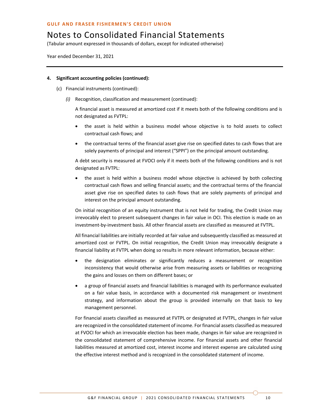(Tabular amount expressed in thousands of dollars, except for indicated otherwise)

Year ended December 31, 2021

### **4. Significant accounting policies (continued):**

- (c) Financial instruments (continued):
	- *(i)* Recognition, classification and measurement (continued):

A financial asset is measured at amortized cost if it meets both of the following conditions and is not designated as FVTPL:

- the asset is held within a business model whose objective is to hold assets to collect contractual cash flows; and
- the contractual terms of the financial asset give rise on specified dates to cash flows that are solely payments of principal and interest ("SPPI") on the principal amount outstanding.

A debt security is measured at FVOCI only if it meets both of the following conditions and is not designated as FVTPL:

• the asset is held within a business model whose objective is achieved by both collecting contractual cash flows and selling financial assets; and the contractual terms of the financial asset give rise on specified dates to cash flows that are solely payments of principal and interest on the principal amount outstanding.

On initial recognition of an equity instrument that is not held for trading, the Credit Union may irrevocably elect to present subsequent changes in fair value in OCI. This election is made on an investment-by-investment basis. All other financial assets are classified as measured at FVTPL.

All financial liabilities are initially recorded at fair value and subsequently classified as measured at amortized cost or FVTPL. On initial recognition, the Credit Union may irrevocably designate a financial liability at FVTPL when doing so results in more relevant information, because either:

- the designation eliminates or significantly reduces a measurement or recognition inconsistency that would otherwise arise from measuring assets or liabilities or recognizing the gains and losses on them on different bases; or
- a group of financial assets and financial liabilities is managed with its performance evaluated on a fair value basis, in accordance with a documented risk management or investment strategy, and information about the group is provided internally on that basis to key management personnel.

For financial assets classified as measured at FVTPL or designated at FVTPL, changes in fair value are recognized in the consolidated statement of income. For financial assets classified as measured at FVOCI for which an irrevocable election has been made, changes in fair value are recognized in the consolidated statement of comprehensive income. For financial assets and other financial liabilities measured at amortized cost, interest income and interest expense are calculated using the effective interest method and is recognized in the consolidated statement of income.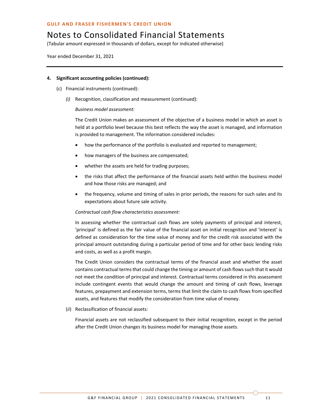(Tabular amount expressed in thousands of dollars, except for indicated otherwise)

Year ended December 31, 2021

### **4. Significant accounting policies (continued):**

- (c) Financial instruments (continued):
	- *(i)* Recognition, classification and measurement (continued):

### *Business model assessment:*

The Credit Union makes an assessment of the objective of a business model in which an asset is held at a portfolio level because this best reflects the way the asset is managed, and information is provided to management. The information considered includes:

- how the performance of the portfolio is evaluated and reported to management;
- how managers of the business are compensated;
- whether the assets are held for trading purposes;
- the risks that affect the performance of the financial assets held within the business model and how those risks are managed; and
- the frequency, volume and timing of sales in prior periods, the reasons for such sales and its expectations about future sale activity.

### *Contractual cash flow characteristics assessment:*

In assessing whether the contractual cash flows are solely payments of principal and interest, 'principal' is defined as the fair value of the financial asset on initial recognition and 'interest' is defined as consideration for the time value of money and for the credit risk associated with the principal amount outstanding during a particular period of time and for other basic lending risks and costs, as well as a profit margin.

The Credit Union considers the contractual terms of the financial asset and whether the asset contains contractual terms that could change the timing or amount of cash flows such that it would not meet the condition of principal and interest. Contractual terms considered in this assessment include contingent events that would change the amount and timing of cash flows, leverage features, prepayment and extension terms, terms that limit the claim to cash flows from specified assets, and features that modify the consideration from time value of money.

(*ii*) Reclassification of financial assets:

Financial assets are not reclassified subsequent to their initial recognition, except in the period after the Credit Union changes its business model for managing those assets.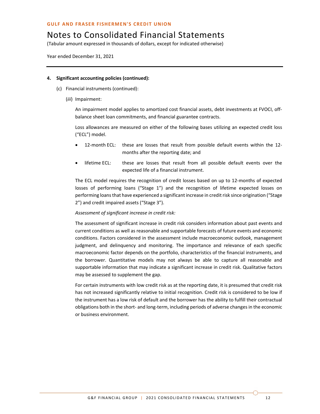(Tabular amount expressed in thousands of dollars, except for indicated otherwise)

Year ended December 31, 2021

### **4. Significant accounting policies (continued):**

- (c) Financial instruments (continued):
	- (*iii*) Impairment:

An impairment model applies to amortized cost financial assets, debt investments at FVOCI, offbalance sheet loan commitments, and financial guarantee contracts.

Loss allowances are measured on either of the following bases utilizing an expected credit loss ("ECL") model.

- 12-month ECL: these are losses that result from possible default events within the 12 months after the reporting date; and
- lifetime ECL: these are losses that result from all possible default events over the expected life of a financial instrument.

The ECL model requires the recognition of credit losses based on up to 12-months of expected losses of performing loans ("Stage 1") and the recognition of lifetime expected losses on performing loans that have experienced a significant increase in credit risk since origination ("Stage 2") and credit impaired assets ("Stage 3").

### *Assessment of significant increase in credit risk:*

The assessment of significant increase in credit risk considers information about past events and current conditions as well as reasonable and supportable forecasts of future events and economic conditions. Factors considered in the assessment include macroeconomic outlook, management judgment, and delinquency and monitoring. The importance and relevance of each specific macroeconomic factor depends on the portfolio, characteristics of the financial instruments, and the borrower. Quantitative models may not always be able to capture all reasonable and supportable information that may indicate a significant increase in credit risk. Qualitative factors may be assessed to supplement the gap.

For certain instruments with low credit risk as at the reporting date, it is presumed that credit risk has not increased significantly relative to initial recognition. Credit risk is considered to be low if the instrument has a low risk of default and the borrower has the ability to fulfill their contractual obligations both in the short- and long-term, including periods of adverse changes in the economic or business environment.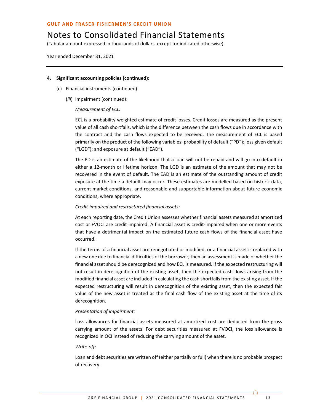(Tabular amount expressed in thousands of dollars, except for indicated otherwise)

Year ended December 31, 2021

### **4. Significant accounting policies (continued):**

- (c) Financial instruments (continued):
	- (*iii*) Impairment (continued):

### *Measurement of ECL:*

ECL is a probability-weighted estimate of credit losses. Credit losses are measured as the present value of all cash shortfalls, which is the difference between the cash flows due in accordance with the contract and the cash flows expected to be received. The measurement of ECL is based primarily on the product of the following variables: probability of default ("PD"); loss given default ("LGD"); and exposure at default ("EAD").

The PD is an estimate of the likelihood that a loan will not be repaid and will go into default in either a 12-month or lifetime horizon. The LGD is an estimate of the amount that may not be recovered in the event of default. The EAD is an estimate of the outstanding amount of credit exposure at the time a default may occur. These estimates are modelled based on historic data, current market conditions, and reasonable and supportable information about future economic conditions, where appropriate.

### *Credit-impaired and restructured financial assets:*

At each reporting date, the Credit Union assesses whether financial assets measured at amortized cost or FVOCI are credit impaired. A financial asset is credit-impaired when one or more events that have a detrimental impact on the estimated future cash flows of the financial asset have occurred.

If the terms of a financial asset are renegotiated or modified, or a financial asset is replaced with a new one due to financial difficulties of the borrower, then an assessment is made of whether the financial asset should be derecognized and how ECL is measured. If the expected restructuring will not result in derecognition of the existing asset, then the expected cash flows arising from the modified financial asset are included in calculating the cash shortfalls from the existing asset. If the expected restructuring will result in derecognition of the existing asset, then the expected fair value of the new asset is treated as the final cash flow of the existing asset at the time of its derecognition.

### *Presentation of impairment:*

Loss allowances for financial assets measured at amortized cost are deducted from the gross carrying amount of the assets. For debt securities measured at FVOCI, the loss allowance is recognized in OCI instead of reducing the carrying amount of the asset.

### *Write-off:*

Loan and debt securities are written off (either partially or full) when there is no probable prospect of recovery.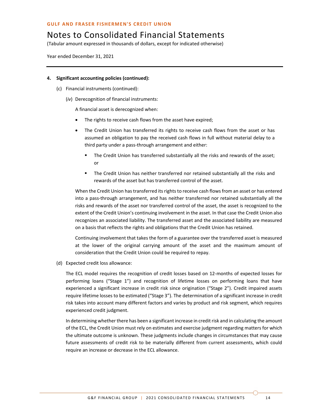(Tabular amount expressed in thousands of dollars, except for indicated otherwise)

Year ended December 31, 2021

### **4. Significant accounting policies (continued):**

- (c) Financial instruments (continued):
	- (*iv*) Derecognition of financial instruments:

A financial asset is derecognized when:

- The rights to receive cash flows from the asset have expired;
- The Credit Union has transferred its rights to receive cash flows from the asset or has assumed an obligation to pay the received cash flows in full without material delay to a third party under a pass-through arrangement and either:
	- The Credit Union has transferred substantially all the risks and rewards of the asset; or
	- The Credit Union has neither transferred nor retained substantially all the risks and rewards of the asset but has transferred control of the asset.

When the Credit Union has transferred its rights to receive cash flows from an asset or has entered into a pass-through arrangement, and has neither transferred nor retained substantially all the risks and rewards of the asset nor transferred control of the asset, the asset is recognized to the extent of the Credit Union's continuing involvement in the asset. In that case the Credit Union also recognizes an associated liability. The transferred asset and the associated liability are measured on a basis that reflects the rights and obligations that the Credit Union has retained.

Continuing involvement that takes the form of a guarantee over the transferred asset is measured at the lower of the original carrying amount of the asset and the maximum amount of consideration that the Credit Union could be required to repay.

(d) Expected credit loss allowance:

The ECL model requires the recognition of credit losses based on 12-months of expected losses for performing loans ("Stage 1") and recognition of lifetime losses on performing loans that have experienced a significant increase in credit risk since origination ("Stage 2"). Credit impaired assets require lifetime losses to be estimated ("Stage 3"). The determination of a significant increase in credit risk takes into account many different factors and varies by product and risk segment, which requires experienced credit judgment.

In determining whether there has been a significant increase in credit risk and in calculating the amount of the ECL, the Credit Union must rely on estimates and exercise judgment regarding matters for which the ultimate outcome is unknown. These judgments include changes in circumstances that may cause future assessments of credit risk to be materially different from current assessments, which could require an increase or decrease in the ECL allowance.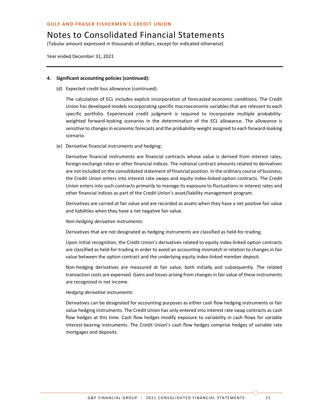(Tabular amount expressed in thousands of dollars, except for indicated otherwise)

Year ended December 31, 2021

### **4. Significant accounting policies (continued):**

(d) Expected credit loss allowance (continued):

The calculation of ECL includes explicit incorporation of forecasted economic conditions. The Credit Union has developed models incorporating specific macroeconomic variables that are relevant to each specific portfolio. Experienced credit judgment is required to incorporate multiple probabilityweighted forward-looking scenarios in the determination of the ECL allowance. The allowance is sensitive to changes in economic forecasts and the probability-weight assigned to each forward-looking scenario.

(e) Derivative financial instruments and hedging:

Derivative financial instruments are financial contracts whose value is derived from interest rates, foreign exchange rates or other financial indices. The notional contract amounts related to derivatives are not included on the consolidated statement of financial position. In the ordinary course of business, the Credit Union enters into interest rate swaps and equity index-linked option contracts. The Credit Union enters into such contracts primarily to manage its exposure to fluctuations in interest rates and other financial indices as part of the Credit Union's asset/liability management program.

Derivatives are carried at fair value and are recorded as assets when they have a net positive fair value and liabilities when they have a net negative fair value.

### *Non-hedging derivative instruments:*

Derivatives that are not designated as hedging instruments are classified as held-for-trading.

Upon initial recognition, the Credit Union's derivatives related to equity index-linked option contracts are classified as held-for-trading in order to avoid an accounting mismatch in relation to changes in fair value between the option contract and the underlying equity index-linked member deposit.

Non-hedging derivatives are measured at fair value, both initially and subsequently. The related transaction costs are expensed. Gains and losses arising from changes in fair value of these instruments are recognized in net income.

### *Hedging derivative instruments:*

Derivatives can be designated for accounting purposes as either cash flow hedging instruments or fair value hedging instruments. The Credit Union has only entered into interest rate swap contracts as cash flow hedges at this time. Cash flow hedges modify exposure to variability in cash flows for variable interest-bearing instruments. The Credit Union's cash flow hedges comprise hedges of variable rate mortgages and deposits.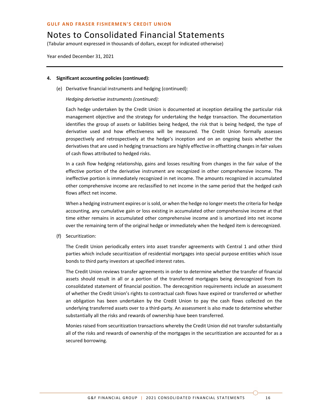(Tabular amount expressed in thousands of dollars, except for indicated otherwise)

Year ended December 31, 2021

### **4. Significant accounting policies (continued):**

(e) Derivative financial instruments and hedging (continued):

*Hedging derivative instruments (continued):*

Each hedge undertaken by the Credit Union is documented at inception detailing the particular risk management objective and the strategy for undertaking the hedge transaction. The documentation identifies the group of assets or liabilities being hedged, the risk that is being hedged, the type of derivative used and how effectiveness will be measured. The Credit Union formally assesses prospectively and retrospectively at the hedge's inception and on an ongoing basis whether the derivatives that are used in hedging transactions are highly effective in offsetting changes in fair values of cash flows attributed to hedged risks.

In a cash flow hedging relationship, gains and losses resulting from changes in the fair value of the effective portion of the derivative instrument are recognized in other comprehensive income. The ineffective portion is immediately recognized in net income. The amounts recognized in accumulated other comprehensive income are reclassified to net income in the same period that the hedged cash flows affect net income.

When a hedging instrument expires or is sold, or when the hedge no longer meets the criteria for hedge accounting, any cumulative gain or loss existing in accumulated other comprehensive income at that time either remains in accumulated other comprehensive income and is amortized into net income over the remaining term of the original hedge or immediately when the hedged item is derecognized.

(f) Securitization:

The Credit Union periodically enters into asset transfer agreements with Central 1 and other third parties which include securitization of residential mortgages into special purpose entities which issue bonds to third party investors at specified interest rates.

The Credit Union reviews transfer agreements in order to determine whether the transfer of financial assets should result in all or a portion of the transferred mortgages being derecognized from its consolidated statement of financial position. The derecognition requirements include an assessment of whether the Credit Union's rights to contractual cash flows have expired or transferred or whether an obligation has been undertaken by the Credit Union to pay the cash flows collected on the underlying transferred assets over to a third-party. An assessment is also made to determine whether substantially all the risks and rewards of ownership have been transferred.

Monies raised from securitization transactions whereby the Credit Union did not transfer substantially all of the risks and rewards of ownership of the mortgages in the securitization are accounted for as a secured borrowing.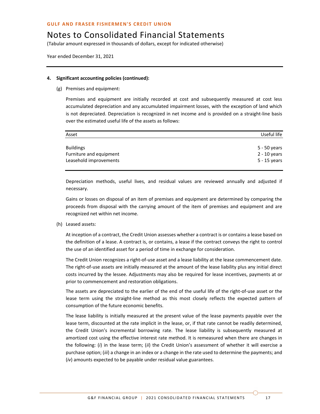(Tabular amount expressed in thousands of dollars, except for indicated otherwise)

Year ended December 31, 2021

#### **4. Significant accounting policies (continued):**

(g) Premises and equipment:

Premises and equipment are initially recorded at cost and subsequently measured at cost less accumulated depreciation and any accumulated impairment losses, with the exception of land which is not depreciated. Depreciation is recognized in net income and is provided on a straight-line basis over the estimated useful life of the assets as follows:

| Asset                   | Useful life    |
|-------------------------|----------------|
|                         |                |
| <b>Buildings</b>        | 5 - 50 years   |
| Furniture and equipment | $2 - 10$ years |
| Leasehold improvements  | 5 - 15 years   |
|                         |                |

Depreciation methods, useful lives, and residual values are reviewed annually and adjusted if necessary.

Gains or losses on disposal of an item of premises and equipment are determined by comparing the proceeds from disposal with the carrying amount of the item of premises and equipment and are recognized net within net income.

(h) Leased assets:

At inception of a contract, the Credit Union assesses whether a contract is or contains a lease based on the definition of a lease. A contract is, or contains, a lease if the contract conveys the right to control the use of an identified asset for a period of time in exchange for consideration.

The Credit Union recognizes a right-of-use asset and a lease liability at the lease commencement date. The right-of-use assets are initially measured at the amount of the lease liability plus any initial direct costs incurred by the lessee. Adjustments may also be required for lease incentives, payments at or prior to commencement and restoration obligations.

The assets are depreciated to the earlier of the end of the useful life of the right-of-use asset or the lease term using the straight-line method as this most closely reflects the expected pattern of consumption of the future economic benefits.

The lease liability is initially measured at the present value of the lease payments payable over the lease term, discounted at the rate implicit in the lease, or, if that rate cannot be readily determined, the Credit Union's incremental borrowing rate. The lease liability is subsequently measured at amortized cost using the effective interest rate method. It is remeasured when there are changes in the following: (*i*) in the lease term; (*ii*) the Credit Union's assessment of whether it will exercise a purchase option; (*iii*) a change in an index or a change in the rate used to determine the payments; and (*iv*) amounts expected to be payable under residual value guarantees.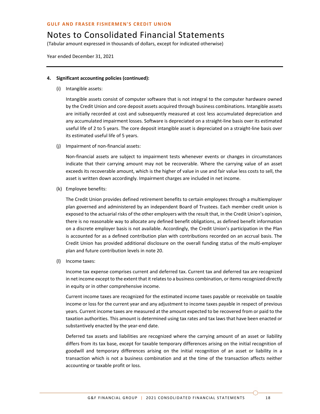(Tabular amount expressed in thousands of dollars, except for indicated otherwise)

Year ended December 31, 2021

### **4. Significant accounting policies (continued):**

(i) Intangible assets:

Intangible assets consist of computer software that is not integral to the computer hardware owned by the Credit Union and core deposit assets acquired through business combinations. Intangible assets are initially recorded at cost and subsequently measured at cost less accumulated depreciation and any accumulated impairment losses. Software is depreciated on a straight-line basis over its estimated useful life of 2 to 5 years. The core deposit intangible asset is depreciated on a straight-line basis over its estimated useful life of 5 years.

(j) Impairment of non-financial assets:

Non-financial assets are subject to impairment tests whenever events or changes in circumstances indicate that their carrying amount may not be recoverable. Where the carrying value of an asset exceeds its recoverable amount, which is the higher of value in use and fair value less costs to sell, the asset is written down accordingly. Impairment charges are included in net income.

(k) Employee benefits:

The Credit Union provides defined retirement benefits to certain employees through a multiemployer plan governed and administered by an independent Board of Trustees. Each member credit union is exposed to the actuarial risks of the other employers with the result that, in the Credit Union's opinion, there is no reasonable way to allocate any defined benefit obligations, as defined benefit information on a discrete employer basis is not available. Accordingly, the Credit Union's participation in the Plan is accounted for as a defined contribution plan with contributions recorded on an accrual basis. The Credit Union has provided additional disclosure on the overall funding status of the multi-employer plan and future contribution levels in note 20.

(l) Income taxes:

Income tax expense comprises current and deferred tax. Current tax and deferred tax are recognized in net income except to the extent that it relates to a business combination, or items recognized directly in equity or in other comprehensive income.

Current income taxes are recognized for the estimated income taxes payable or receivable on taxable income or loss for the current year and any adjustment to income taxes payable in respect of previous years. Current income taxes are measured at the amount expected to be recovered from or paid to the taxation authorities. This amount is determined using tax rates and tax laws that have been enacted or substantively enacted by the year-end date.

Deferred tax assets and liabilities are recognized where the carrying amount of an asset or liability differs from its tax base, except for taxable temporary differences arising on the initial recognition of goodwill and temporary differences arising on the initial recognition of an asset or liability in a transaction which is not a business combination and at the time of the transaction affects neither accounting or taxable profit or loss.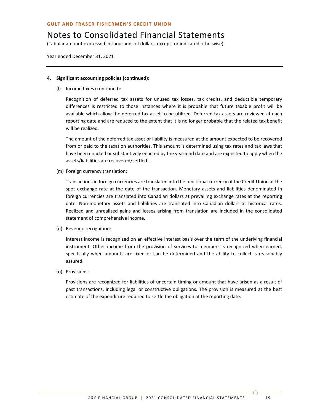# Notes to Consolidated Financial Statements

(Tabular amount expressed in thousands of dollars, except for indicated otherwise)

Year ended December 31, 2021

### **4. Significant accounting policies (continued):**

(l) Income taxes (continued):

Recognition of deferred tax assets for unused tax losses, tax credits, and deductible temporary differences is restricted to those instances where it is probable that future taxable profit will be available which allow the deferred tax asset to be utilized. Deferred tax assets are reviewed at each reporting date and are reduced to the extent that it is no longer probable that the related tax benefit will be realized.

The amount of the deferred tax asset or liability is measured at the amount expected to be recovered from or paid to the taxation authorities. This amount is determined using tax rates and tax laws that have been enacted or substantively enacted by the year-end date and are expected to apply when the assets/liabilities are recovered/settled.

(m) Foreign currency translation:

Transactions in foreign currencies are translated into the functional currency of the Credit Union at the spot exchange rate at the date of the transaction. Monetary assets and liabilities denominated in foreign currencies are translated into Canadian dollars at prevailing exchange rates at the reporting date. Non-monetary assets and liabilities are translated into Canadian dollars at historical rates. Realized and unrealized gains and losses arising from translation are included in the consolidated statement of comprehensive income.

(n) Revenue recognition:

Interest income is recognized on an effective interest basis over the term of the underlying financial instrument. Other income from the provision of services to members is recognized when earned, specifically when amounts are fixed or can be determined and the ability to collect is reasonably assured.

(o) Provisions:

Provisions are recognized for liabilities of uncertain timing or amount that have arisen as a result of past transactions, including legal or constructive obligations. The provision is measured at the best estimate of the expenditure required to settle the obligation at the reporting date.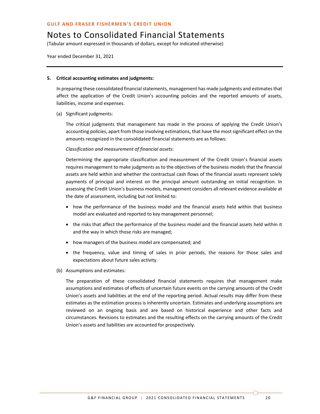(Tabular amount expressed in thousands of dollars, except for indicated otherwise)

Year ended December 31, 2021

### **5. Critical accounting estimates and judgments:**

In preparing these consolidated financial statements, management has made judgments and estimates that affect the application of the Credit Union's accounting policies and the reported amounts of assets, liabilities, income and expenses.

(a) Significant judgments:

The critical judgments that management has made in the process of applying the Credit Union's accounting policies, apart from those involving estimations, that have the most significant effect on the amounts recognized in the consolidated financial statements are as follows:

### *Classification and measurement of financial assets:*

Determining the appropriate classification and measurement of the Credit Union's financial assets requires management to make judgments as to the objectives of the business models that the financial assets are held within and whether the contractual cash flows of the financial assets represent solely payments of principal and interest on the principal amount outstanding on initial recognition. In assessing the Credit Union's business models, management considers all relevant evidence available at the date of assessment, including but not limited to:

- how the performance of the business model and the financial assets held within that business model are evaluated and reported to key management personnel;
- the risks that affect the performance of the business model and the financial assets held within it and the way in which those risks are managed;
- how managers of the business model are compensated; and
- the frequency, value and timing of sales in prior periods, the reasons for those sales and expectations about future sales activity.
- (b) Assumptions and estimates:

The preparation of these consolidated financial statements requires that management make assumptions and estimates of effects of uncertain future events on the carrying amounts of the Credit Union's assets and liabilities at the end of the reporting period. Actual results may differ from these estimates as the estimation process is inherently uncertain. Estimates and underlying assumptions are reviewed on an ongoing basis and are based on historical experience and other facts and circumstances. Revisions to estimates and the resulting effects on the carrying amounts of the Credit Union's assets and liabilities are accounted for prospectively.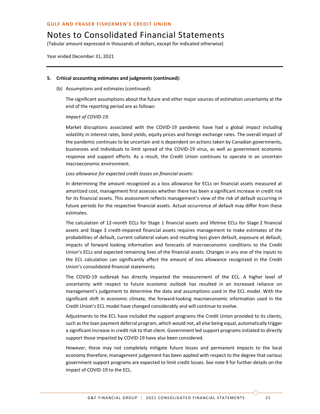(Tabular amount expressed in thousands of dollars, except for indicated otherwise)

Year ended December 31, 2021

### **5. Critical accounting estimates and judgments (continued):**

(b) Assumptions and estimates (continued):

The significant assumptions about the future and other major sources of estimation uncertainty at the end of the reporting period are as follows:

*Impact of COVID-19:*

Market disruptions associated with the COVID-19 pandemic have had a global impact including volatility in interest rates, bond yields, equity prices and foreign exchange rates. The overall impact of the pandemic continues to be uncertain and is dependent on actions taken by Canadian governments, businesses and individuals to limit spread of the COVID-19 virus, as well as government economic response and support efforts. As a result, the Credit Union continues to operate in an uncertain macroeconomic environment.

### *Loss allowance for expected credit losses on financial assets:*

In determining the amount recognized as a loss allowance for ECLs on financial assets measured at amortized cost, management first assesses whether there has been a significant increase in credit risk for its financial assets. This assessment reflects management's view of the risk of default occurring in future periods for the respective financial assets. Actual occurrence of default may differ from these estimates.

The calculation of 12-month ECLs for Stage 1 financial assets and lifetime ECLs for Stage 2 financial assets and Stage 3 credit-impaired financial assets requires management to make estimates of the probabilities of default, current collateral values and resulting loss given default, exposure at default, impacts of forward looking information and forecasts of macroeconomic conditions to the Credit Union's ECLs and expected remaining lives of the financial assets. Changes in any one of the inputs to the ECL calculation can significantly affect the amount of loss allowance recognized in the Credit Union's consolidated financial statements.

The COVID-19 outbreak has directly impacted the measurement of the ECL. A higher level of uncertainty with respect to future economic outlook has resulted in an increased reliance on management's judgement to determine the data and assumptions used in the ECL model. With the significant shift in economic climate, the forward-looking macroeconomic information used in the Credit Union's ECL model have changed considerably and will continue to evolve.

Adjustments to the ECL have included the support programs the Credit Union provided to its clients, such as the loan payment deferral program, which would not, all else being equal, automatically trigger a significant increase in credit risk to that client. Government led support programs initiated to directly support those impacted by COVID-19 have also been considered.

However, these may not completely mitigate future losses and permanent impacts to the local economy therefore, management judgement has been applied with respect to the degree that various government support programs are expected to limit credit losses. See note 9 for further details on the impact of COVID-19 to the ECL.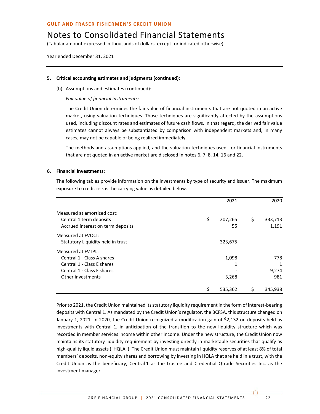# Notes to Consolidated Financial Statements

(Tabular amount expressed in thousands of dollars, except for indicated otherwise)

Year ended December 31, 2021

### **5. Critical accounting estimates and judgments (continued):**

(b) Assumptions and estimates (continued):

*Fair value of financial instruments:*

The Credit Union determines the fair value of financial instruments that are not quoted in an active market, using valuation techniques. Those techniques are significantly affected by the assumptions used, including discount rates and estimates of future cash flows. In that regard, the derived fair value estimates cannot always be substantiated by comparison with independent markets and, in many cases, may not be capable of being realized immediately.

The methods and assumptions applied, and the valuation techniques used, for financial instruments that are not quoted in an active market are disclosed in notes 6, 7, 8, 14, 16 and 22.

### **6. Financial investments:**

The following tables provide information on the investments by type of security and issuer. The maximum exposure to credit risk is the carrying value as detailed below.

|                                   | 2021          | 2020          |
|-----------------------------------|---------------|---------------|
| Measured at amortized cost:       |               |               |
| Central 1 term deposits           | \$<br>207,265 | \$<br>333,713 |
| Accrued interest on term deposits | 55            | 1,191         |
| Measured at FVOCI:                |               |               |
| Statutory Liquidity held in trust | 323,675       |               |
| Measured at FVTPL:                |               |               |
| Central 1 - Class A shares        | 1,098         | 778           |
| Central 1 - Class E shares        | 1             | 1             |
| Central 1 - Class F shares        |               | 9,274         |
| Other investments                 | 3,268         | 981           |
|                                   | \$<br>535,362 | 345,938       |

Prior to 2021, the Credit Union maintained its statutory liquidity requirement in the form of interest-bearing deposits with Central 1. As mandated by the Credit Union's regulator, the BCFSA, this structure changed on January 1, 2021. In 2020, the Credit Union recognized a modification gain of \$2,132 on deposits held as investments with Central 1, in anticipation of the transition to the new liquidity structure which was recorded in member services income within other income. Under the new structure, the Credit Union now maintains its statutory liquidity requirement by investing directly in marketable securities that qualify as high-quality liquid assets ("HQLA"). The Credit Union must maintain liquidity reserves of at least 8% of total members' deposits, non-equity shares and borrowing by investing in HQLA that are held in a trust, with the Credit Union as the beneficiary, Central 1 as the trustee and Credential Qtrade Securities Inc. as the investment manager.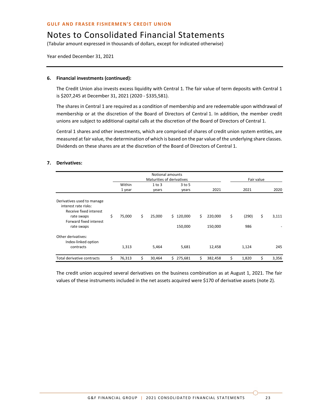(Tabular amount expressed in thousands of dollars, except for indicated otherwise)

Year ended December 31, 2021

### **6. Financial investments (continued):**

The Credit Union also invests excess liquidity with Central 1. The fair value of term deposits with Central 1 is \$207,245 at December 31, 2021 (2020 - \$335,581).

The shares in Central 1 are required as a condition of membership and are redeemable upon withdrawal of membership or at the discretion of the Board of Directors of Central 1. In addition, the member credit unions are subject to additional capital calls at the discretion of the Board of Directors of Central 1.

Central 1 shares and other investments, which are comprised of shares of credit union system entities, are measured at fair value, the determination of which is based on the par value of the underlying share classes. Dividends on these shares are at the discretion of the Board of Directors of Central 1.

### **7. Derivatives:**

|                                                                                                                                    |                  |                 | Notional amounts<br>Maturities of derivatives |                          |                    | Fair value |       |
|------------------------------------------------------------------------------------------------------------------------------------|------------------|-----------------|-----------------------------------------------|--------------------------|--------------------|------------|-------|
|                                                                                                                                    | Within<br>1 year | 1 to 3<br>years | $3$ to 5<br>years                             | 2021                     | 2021               |            | 2020  |
| Derivatives used to manage<br>interest rate risks:<br>Receive fixed interest<br>rate swaps<br>Forward fixed interest<br>rate swaps | \$<br>75,000     | \$<br>25,000    | \$120,000<br>150,000                          | \$<br>220,000<br>150,000 | \$<br>(290)<br>986 | \$         | 3,111 |
| Other derivatives:<br>Index-linked option<br>contracts                                                                             | 1,313            | 5,464           | 5,681                                         | 12,458                   | 1,124              |            | 245   |
| Total derivative contracts                                                                                                         | \$<br>76,313     | \$<br>30,464    | \$275,681                                     | \$<br>382,458            | \$<br>1,820        | \$         | 3,356 |

The credit union acquired several derivatives on the business combination as at August 1, 2021. The fair values of these instruments included in the net assets acquired were \$170 of derivative assets (note 2).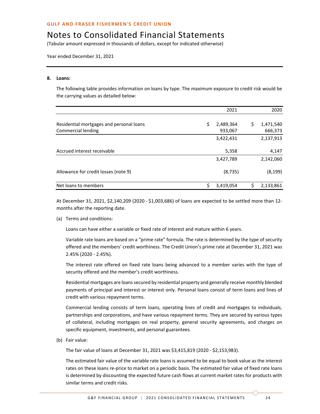(Tabular amount expressed in thousands of dollars, except for indicated otherwise)

Year ended December 31, 2021

### **8. Loans:**

The following table provides information on loans by type. The maximum exposure to credit risk would be the carrying values as detailed below:

|                                                                | 2021                       |    | 2020                 |
|----------------------------------------------------------------|----------------------------|----|----------------------|
| Residential mortgages and personal loans<br>Commercial lending | \$<br>2,489,364<br>933,067 | \$ | 1,471,540<br>666,373 |
|                                                                | 3,422,431                  |    | 2,137,913            |
| Accrued interest receivable                                    | 5,358                      |    | 4,147                |
|                                                                | 3,427,789                  |    | 2,142,060            |
| Allowance for credit losses (note 9)                           | (8, 735)                   |    | (8, 199)             |
| Net loans to members                                           | \$<br>3,419,054            | Ś  | 2,133,861            |

At December 31, 2021, \$2,140,209 (2020 - \$1,003,686) of loans are expected to be settled more than 12 months after the reporting date.

(a) Terms and conditions:

Loans can have either a variable or fixed rate of interest and mature within 6 years.

Variable rate loans are based on a "prime rate" formula. The rate is determined by the type of security offered and the members' credit worthiness. The Credit Union's prime rate at December 31, 2021 was 2.45% (2020 - 2.45%).

The interest rate offered on fixed rate loans being advanced to a member varies with the type of security offered and the member's credit worthiness.

Residential mortgages are loans secured by residential property and generally receive monthly blended payments of principal and interest or interest only. Personal loans consist of term loans and lines of credit with various repayment terms.

Commercial lending consists of term loans, operating lines of credit and mortgages to individuals, partnerships and corporations, and have various repayment terms. They are secured by various types of collateral, including mortgages on real property, general security agreements, and charges on specific equipment, investments, and personal guarantees.

(b) Fair value:

The fair value of loans at December 31, 2021 was \$3,415,819 (2020 - \$2,153,983).

The estimated fair value of the variable rate loans is assumed to be equal to book value as the interest rates on these loans re-price to market on a periodic basis. The estimated fair value of fixed rate loans is determined by discounting the expected future cash flows at current market rates for products with similar terms and credit risks.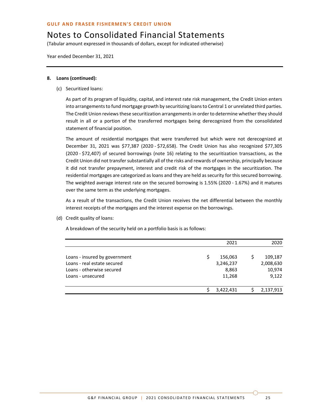# Notes to Consolidated Financial Statements

(Tabular amount expressed in thousands of dollars, except for indicated otherwise)

Year ended December 31, 2021

### **8. Loans (continued):**

(c) Securitized loans:

As part of its program of liquidity, capital, and interest rate risk management, the Credit Union enters into arrangements to fund mortgage growth by securitizing loans to Central 1 or unrelated third parties. The Credit Union reviews these securitization arrangements in order to determine whether they should result in all or a portion of the transferred mortgages being derecognized from the consolidated statement of financial position.

The amount of residential mortgages that were transferred but which were not derecognized at December 31, 2021 was \$77,387 (2020 - \$72,658). The Credit Union has also recognized \$77,305 (2020 - \$72,407) of secured borrowings (note 16) relating to the securitization transactions, as the Credit Union did not transfer substantially all of the risks and rewards of ownership, principally because it did not transfer prepayment, interest and credit risk of the mortgages in the securitization. The residential mortgages are categorized as loans and they are held as security for this secured borrowing. The weighted average interest rate on the secured borrowing is 1.55% (2020 - 1.67%) and it matures over the same term as the underlying mortgages.

As a result of the transactions, the Credit Union receives the net differential between the monthly interest receipts of the mortgages and the interest expense on the borrowings.

(d) Credit quality of loans:

A breakdown of the security held on a portfolio basis is as follows:

|                               | 2021      | 2020      |
|-------------------------------|-----------|-----------|
| Loans - insured by government | 156,063   | 109,187   |
| Loans - real estate secured   | 3,246,237 | 2,008,630 |
| Loans - otherwise secured     | 8,863     | 10,974    |
| Loans - unsecured             | 11,268    | 9,122     |
|                               | 3,422,431 | 2,137,913 |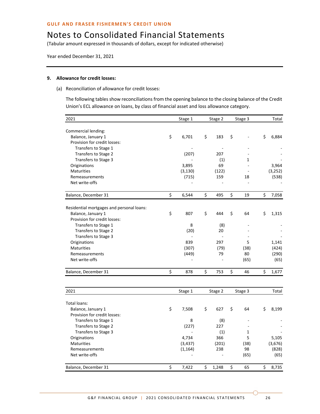(Tabular amount expressed in thousands of dollars, except for indicated otherwise)

Year ended December 31, 2021

### **9. Allowance for credit losses:**

(a) Reconciliation of allowance for credit losses:

The following tables show reconciliations from the opening balance to the closing balance of the Credit Union's ECL allowance on loans, by class of financial asset and loss allowance category.

| 2021                                               | Stage 1     | Stage 2     | Stage 3      | Total       |
|----------------------------------------------------|-------------|-------------|--------------|-------------|
|                                                    |             |             |              |             |
| Commercial lending:                                | \$<br>6,701 | \$<br>183   | \$           | \$<br>6,884 |
| Balance, January 1<br>Provision for credit losses: |             |             |              |             |
| Transfers to Stage 1                               |             |             |              |             |
| Transfers to Stage 2                               | (207)       | 207         |              |             |
| Transfers to Stage 3                               |             | (1)         | $\mathbf{1}$ |             |
| Originations                                       | 3,895       | 69          |              | 3,964       |
| <b>Maturities</b>                                  | (3, 130)    | (122)       |              | (3, 252)    |
| Remeasurements                                     | (715)       | 159         | 18           | (538)       |
| Net write-offs                                     |             |             |              |             |
|                                                    |             |             |              |             |
| Balance, December 31                               | \$<br>6,544 | \$<br>495   | \$<br>19     | \$<br>7,058 |
| Residential mortgages and personal loans:          |             |             |              |             |
| Balance, January 1                                 | \$<br>807   | \$<br>444   | \$<br>64     | \$<br>1,315 |
| Provision for credit losses:                       |             |             |              |             |
| Transfers to Stage 1                               | 8           | (8)         |              |             |
| Transfers to Stage 2                               | (20)        | 20          |              |             |
| Transfers to Stage 3                               |             |             |              |             |
| Originations                                       | 839         | 297         | 5            | 1,141       |
| Maturities                                         | (307)       | (79)        | (38)         | (424)       |
| Remeasurements                                     | (449)       | 79          | 80           | (290)       |
| Net write-offs                                     |             |             | (65)         | (65)        |
| Balance, December 31                               | \$<br>878   | \$<br>753   | \$<br>46     | \$<br>1,677 |
|                                                    |             |             |              |             |
| 2021                                               | Stage 1     | Stage 2     | Stage 3      | Total       |
| Total loans:                                       |             |             |              |             |
| Balance, January 1                                 | \$<br>7,508 | \$<br>627   | \$<br>64     | \$<br>8,199 |
| Provision for credit losses:                       |             |             |              |             |
| Transfers to Stage 1                               | 8           | (8)         |              |             |
| Transfers to Stage 2                               | (227)       | 227         |              |             |
| Transfers to Stage 3                               |             | (1)         | 1            |             |
| Originations                                       | 4,734       | 366         | 5            | 5,105       |
| Maturities                                         | (3, 437)    | (201)       | (38)         | (3,676)     |
| Remeasurements                                     | (1, 164)    | 238         | 98           | (828)       |
| Net write-offs                                     |             |             | (65)         | (65)        |
| Balance, December 31                               | \$<br>7,422 | \$<br>1,248 | \$<br>65     | \$<br>8,735 |
|                                                    |             |             |              |             |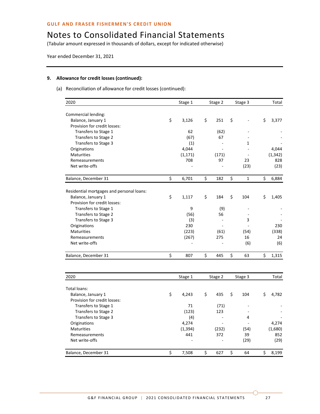(Tabular amount expressed in thousands of dollars, except for indicated otherwise)

Year ended December 31, 2021

### **9. Allowance for credit losses (continued):**

(a) Reconciliation of allowance for credit losses (continued):

| 2020                                      | Stage 1     | Stage 2   | Stage 3                  | Total       |
|-------------------------------------------|-------------|-----------|--------------------------|-------------|
| Commercial lending:                       |             |           |                          |             |
| Balance, January 1                        | \$<br>3,126 | \$<br>251 | \$                       | \$<br>3,377 |
| Provision for credit losses:              |             |           |                          |             |
| Transfers to Stage 1                      | 62          | (62)      |                          |             |
| Transfers to Stage 2                      | (67)        | 67        |                          |             |
| Transfers to Stage 3                      | (1)         |           | 1                        |             |
| Originations                              | 4,044       |           |                          | 4,044       |
| <b>Maturities</b>                         | (1, 171)    | (171)     | $\overline{\phantom{a}}$ | (1, 342)    |
| Remeasurements                            | 708         | 97        | 23                       | 828         |
| Net write-offs                            |             |           | (23)                     | (23)        |
| Balance, December 31                      | \$<br>6,701 | \$<br>182 | \$<br>$\mathbf 1$        | \$<br>6,884 |
| Residential mortgages and personal loans: |             |           |                          |             |
| Balance, January 1                        | \$<br>1,117 | \$<br>184 | \$<br>104                | \$<br>1,405 |
| Provision for credit losses:              |             |           |                          |             |
| Transfers to Stage 1                      | 9           | (9)       |                          |             |
| Transfers to Stage 2                      | (56)        | 56        |                          |             |
| Transfers to Stage 3                      | (3)         |           | 3                        |             |
| Originations                              | 230         |           |                          | 230         |
| <b>Maturities</b>                         | (223)       | (61)      | (54)                     | (338)       |
| Remeasurements                            | (267)       | 275       | 16                       | 24          |
| Net write-offs                            |             |           | (6)                      | (6)         |
| Balance, December 31                      | \$<br>807   | \$<br>445 | \$<br>63                 | \$<br>1,315 |
|                                           |             |           |                          |             |
| 2020                                      | Stage 1     | Stage 2   | Stage 3                  | Total       |
| Total loans:                              |             |           |                          |             |
| Balance, January 1                        | \$<br>4,243 | \$<br>435 | \$<br>104                | \$<br>4,782 |
| Provision for credit losses:              |             |           |                          |             |
| Transfers to Stage 1                      | 71          | (71)      |                          |             |
| Transfers to Stage 2                      | (123)       | 123       |                          |             |
| Transfers to Stage 3                      | (4)         |           | 4                        |             |
| Originations                              | 4,274       |           |                          | 4,274       |
| <b>Maturities</b>                         | (1, 394)    | (232)     | (54)                     | (1,680)     |
| Remeasurements                            | 441         | 372       | 39                       | 852         |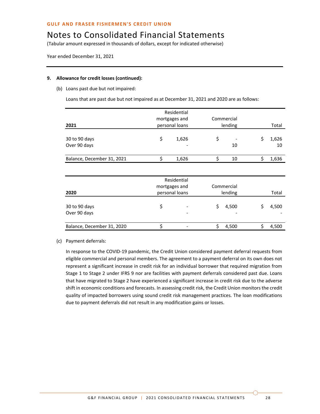(Tabular amount expressed in thousands of dollars, except for indicated otherwise)

Year ended December 31, 2021

### **9. Allowance for credit losses (continued):**

(b) Loans past due but not impaired:

Loans that are past due but not impaired as at December 31, 2021 and 2020 are as follows:

|                            | Residential |                |            |            |             |
|----------------------------|-------------|----------------|------------|------------|-------------|
|                            |             | mortgages and  | Commercial |            |             |
| 2021                       |             | personal loans |            | lending    | Total       |
|                            |             |                |            |            |             |
| 30 to 90 days              | \$          | 1,626          | \$         |            | \$<br>1,626 |
| Over 90 days               |             |                |            | 10         | 10          |
| Balance, December 31, 2021 | \$          | 1,626          | \$         | 10         | \$<br>1,636 |
|                            |             |                |            |            |             |
|                            |             | Residential    |            |            |             |
|                            |             | mortgages and  |            | Commercial |             |
| 2020                       |             | personal loans | lending    |            | Total       |
| 30 to 90 days              | \$          |                | \$         | 4,500      | \$<br>4,500 |
| Over 90 days               |             |                |            |            |             |
| Balance, December 31, 2020 | \$          |                | Ś.         | 4,500      | 4,500       |

#### (c) Payment deferrals:

In response to the COVID-19 pandemic, the Credit Union considered payment deferral requests from eligible commercial and personal members. The agreement to a payment deferral on its own does not represent a significant increase in credit risk for an individual borrower that required migration from Stage 1 to Stage 2 under IFRS 9 nor are facilities with payment deferrals considered past due. Loans that have migrated to Stage 2 have experienced a significant increase in credit risk due to the adverse shift in economic conditions and forecasts. In assessing credit risk, the Credit Union monitors the credit quality of impacted borrowers using sound credit risk management practices. The loan modifications due to payment deferrals did not result in any modification gains or losses.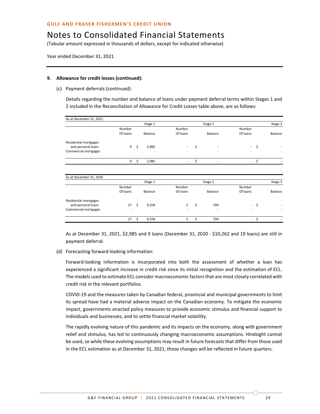(Tabular amount expressed in thousands of dollars, except for indicated otherwise)

Year ended December 31, 2021

#### **9. Allowance for credit losses (continued):**

(c) Payment deferrals (continued):

Details regarding the number and balance of loans under payment deferral terms within Stages 1 and 2 included in the Reconciliation of Allowance for Credit Losses table above, are as follows:

| As at December 31, 2021 |                |             |                          |                          |                          |         |
|-------------------------|----------------|-------------|--------------------------|--------------------------|--------------------------|---------|
|                         |                | Stage 1     |                          | Stage 2                  |                          | Stage 3 |
|                         | Number         |             | Number                   |                          | Number                   |         |
|                         | Of loans       | Balance     | Of loans                 | Balance                  | Of loans                 | Balance |
| Residential mortgages   |                |             |                          |                          |                          |         |
| and personal loans      | 9              | \$<br>2,985 |                          | \$                       | ٠                        | \$      |
| Commercial mortgages    |                |             |                          | $\overline{\phantom{a}}$ |                          |         |
|                         | 9              | \$<br>2,985 | $\overline{\phantom{a}}$ | \$                       | $\overline{\phantom{a}}$ | \$      |
| As at December 31, 2020 |                |             |                          |                          |                          |         |
|                         |                | Stage 1     |                          | Stage 2                  |                          | Stage 3 |
|                         | Number         |             | Number                   |                          | Number                   |         |
|                         | Of loans       | Balance     | Of loans                 | Balance                  | Of loans                 | Balance |
| Residential mortgages   |                |             |                          |                          |                          |         |
| and personal loans      | 17             | \$<br>9,558 | $\overline{2}$           | \$<br>704                | $\overline{\phantom{a}}$ | \$      |
| Commercial mortgages    | $\overline{a}$ |             |                          |                          |                          |         |
|                         | 17             | \$<br>9,558 | $\overline{2}$           | \$<br>704                | $\overline{\phantom{a}}$ | \$      |

As at December 31, 2021, \$2,985 and 9 loans (December 31, 2020 - \$10,262 and 19 loans) are still in payment deferral.

(d) Forecasting forward-looking information:

Forward-looking information is incorporated into both the assessment of whether a loan has experienced a significant increase in credit risk since its initial recognition and the estimation of ECL. The models used to estimate ECL consider macroeconomic factors that are most closely correlated with credit risk in the relevant portfolios.

COVID-19 and the measures taken by Canadian federal, provincial and municipal governments to limit its spread have had a material adverse impact on the Canadian economy. To mitigate the economic impact, governments enacted policy measures to provide economic stimulus and financial support to individuals and businesses, and to settle financial market volatility.

The rapidly evolving nature of this pandemic and its impacts on the economy, along with government relief and stimulus, has led to continuously changing macroeconomic assumptions. Hindsight cannot be used, so while these evolving assumptions may result in future forecasts that differ from those used in the ECL estimation as at December 31, 2021, those changes will be reflected in future quarters.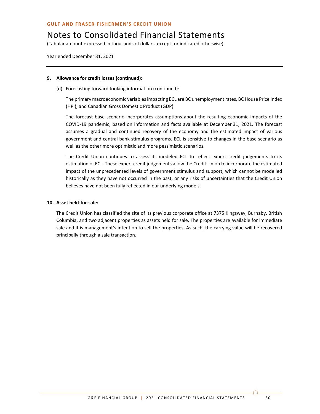(Tabular amount expressed in thousands of dollars, except for indicated otherwise)

Year ended December 31, 2021

### **9. Allowance for credit losses (continued):**

(d) Forecasting forward-looking information (continued):

The primary macroeconomic variables impacting ECL are BC unemployment rates, BC House Price Index (HPI), and Canadian Gross Domestic Product (GDP).

The forecast base scenario incorporates assumptions about the resulting economic impacts of the COVID-19 pandemic, based on information and facts available at December 31, 2021. The forecast assumes a gradual and continued recovery of the economy and the estimated impact of various government and central bank stimulus programs. ECL is sensitive to changes in the base scenario as well as the other more optimistic and more pessimistic scenarios.

The Credit Union continues to assess its modeled ECL to reflect expert credit judgements to its estimation of ECL. These expert credit judgements allow the Credit Union to incorporate the estimated impact of the unprecedented levels of government stimulus and support, which cannot be modelled historically as they have not occurred in the past, or any risks of uncertainties that the Credit Union believes have not been fully reflected in our underlying models.

### **10. Asset held-for-sale:**

The Credit Union has classified the site of its previous corporate office at 7375 Kingsway, Burnaby, British Columbia, and two adjacent properties as assets held for sale. The properties are available for immediate sale and it is management's intention to sell the properties. As such, the carrying value will be recovered principally through a sale transaction.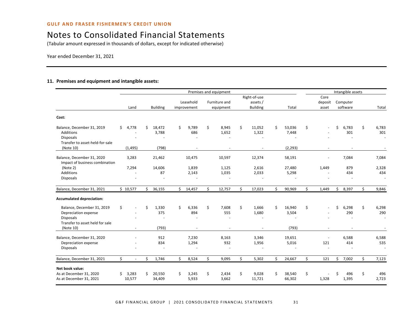(Tabular amount expressed in thousands of dollars, except for indicated otherwise)

Year ended December 31, 2021

### **11. Premises and equipment and intangible assets:**

|                                                                                                                        |                       |                            |                          | Premises and equipment               |                                             |                               |                          | Intangible assets    |                              |
|------------------------------------------------------------------------------------------------------------------------|-----------------------|----------------------------|--------------------------|--------------------------------------|---------------------------------------------|-------------------------------|--------------------------|----------------------|------------------------------|
|                                                                                                                        | Land                  | <b>Building</b>            | Leasehold<br>improvement | Furniture and<br>equipment           | Right-of-use<br>assets /<br><b>Building</b> | Total                         | Core<br>deposit<br>asset | Computer<br>software | Total                        |
| Cost:                                                                                                                  |                       |                            |                          |                                      |                                             |                               |                          |                      |                              |
| Balance, December 31, 2019<br>Additions<br><b>Disposals</b><br>Transfer to asset-held-for-sale                         | \$<br>4,778           | 18,472<br>Ś.<br>3,788      | 9,789<br>Ŝ.<br>686       | \$<br>8,945<br>1,652                 | \$<br>11,052<br>1,322                       | Ś.<br>53,036<br>7,448         | \$                       | Ś<br>6,783<br>301    | \$<br>6,783<br>301           |
| (Note 10)                                                                                                              | (1, 495)              | (798)                      |                          |                                      |                                             | (2, 293)                      |                          |                      |                              |
| Balance, December 31, 2020<br>Impact of business combination                                                           | 3,283                 | 21,462                     | 10,475                   | 10,597                               | 12,374                                      | 58,191                        |                          | 7,084                | 7,084                        |
| (Note 2)<br>Additions<br><b>Disposals</b>                                                                              | 7,294                 | 14,606<br>87               | 1,839<br>2,143           | 1,125<br>1,035                       | 2,616<br>2,033                              | 27,480<br>5,298               | 1,449                    | 879<br>434           | 2,328<br>434                 |
| Balance, December 31, 2021                                                                                             | \$10,577              | 36,155<br>Ś.               | $\mathsf{S}$<br>14,457   | Ś.<br>12,757                         | Ś.<br>17,023                                | Ś.<br>90,969                  | Ś.<br>1,449              | \$<br>8,397          | Ś.<br>9,846                  |
| <b>Accumulated depreciation:</b>                                                                                       |                       |                            |                          |                                      |                                             |                               |                          |                      |                              |
| Balance, December 31, 2019<br>Depreciation expense<br><b>Disposals</b><br>Transfer to asset held for sale<br>(Note 10) | \$<br>$\blacksquare$  | Ś<br>1,330<br>375<br>(793) | Ś<br>6,336<br>894        | \$<br>7,608<br>555<br>$\blacksquare$ | Ś.<br>1.666<br>1,680                        | Ś<br>16,940<br>3,504<br>(793) | Ś.                       | Ś<br>6,298<br>290    | \$<br>6,298<br>290<br>$\sim$ |
| Balance, December 31, 2020<br>Depreciation expense<br><b>Disposals</b>                                                 |                       | 912<br>834                 | 7,230<br>1,294           | 8,163<br>932                         | 3,346<br>1,956                              | 19,651<br>5,016               | 121                      | 6,588<br>414         | 6,588<br>535                 |
| Balance, December 31, 2021                                                                                             | \$<br>$\blacksquare$  | Ś<br>1,746                 | Ś.<br>8,524              | \$<br>9,095                          | Ś.<br>5,302                                 | Ś.<br>24,667                  | \$<br>121                | \$<br>7,002          | Ś.<br>7,123                  |
| Net book value:<br>As at December 31, 2020<br>As at December 31, 2021                                                  | 3,283<br>Ś.<br>10,577 | 20,550<br>Ś<br>34,409      | Ŝ.<br>3,245<br>5,933     | \$<br>2,434<br>3,662                 | \$<br>9,028<br>11,721                       | Ś.<br>38,540<br>66,302        | \$<br>1,328              | Ś<br>496<br>1,395    | \$<br>496<br>2,723           |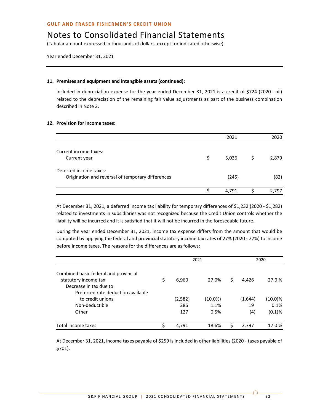(Tabular amount expressed in thousands of dollars, except for indicated otherwise)

Year ended December 31, 2021

### **11. Premises and equipment and intangible assets (continued):**

Included in depreciation expense for the year ended December 31, 2021 is a credit of \$724 (2020 - nil) related to the depreciation of the remaining fair value adjustments as part of the business combination described in Note 2.

### **12. Provision for income taxes:**

|                                                   |    | 2021  | 2020  |
|---------------------------------------------------|----|-------|-------|
| Current income taxes:                             |    |       |       |
| Current year                                      | \$ | 5,036 | 2,879 |
| Deferred income taxes:                            |    |       |       |
| Origination and reversal of temporary differences |    | (245) | (82)  |
|                                                   | S  | 4,791 | 2.797 |

At December 31, 2021, a deferred income tax liability for temporary differences of \$1,232 (2020 - \$1,282) related to investments in subsidiaries was not recognized because the Credit Union controls whether the liability will be incurred and it is satisfied that it will not be incurred in the foreseeable future.

During the year ended December 31, 2021, income tax expense differs from the amount that would be computed by applying the federal and provincial statutory income tax rates of 27% (2020 - 27%) to income before income taxes. The reasons for the differences are as follows:

|                                                                                          |    | 2021                   |                            | 2020 |                      |                              |
|------------------------------------------------------------------------------------------|----|------------------------|----------------------------|------|----------------------|------------------------------|
| Combined basic federal and provincial<br>statutory income tax<br>Decrease in tax due to: | \$ | 6,960                  | 27.0%                      | \$   | 4.426                | 27.0 %                       |
| Preferred rate deduction available<br>to credit unions<br>Non-deductible<br>Other        |    | (2, 582)<br>286<br>127 | $(10.0\%)$<br>1.1%<br>0.5% |      | (1,644)<br>19<br>(4) | $(10.0)\%$<br>0.1%<br>(0.1)% |
| Total income taxes                                                                       | ς  | 4,791                  | 18.6%                      | Ś    | 2.797                | 17.0%                        |

At December 31, 2021, income taxes payable of \$259 is included in other liabilities (2020 - taxes payable of \$701).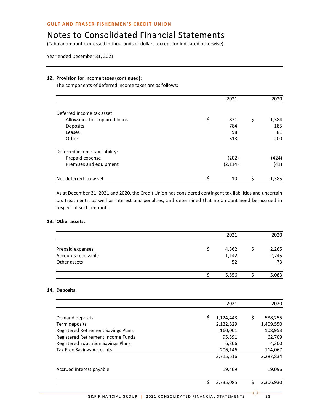# Notes to Consolidated Financial Statements

(Tabular amount expressed in thousands of dollars, except for indicated otherwise)

Year ended December 31, 2021

### **12. Provision for income taxes (continued):**

The components of deferred income taxes are as follows:

|                                | 2021      |    | 2020  |
|--------------------------------|-----------|----|-------|
| Deferred income tax asset:     |           |    |       |
| Allowance for impaired loans   | \$<br>831 | \$ | 1,384 |
| Deposits                       | 784       |    | 185   |
| Leases                         | 98        |    | 81    |
| Other                          | 613       |    | 200   |
| Deferred income tax liability: |           |    |       |
| Prepaid expense                | (202)     |    | (424) |
| Premises and equipment         | (2, 114)  |    | (41)  |
| Net deferred tax asset         | \$<br>10  | Ś  | 1,385 |

As at December 31, 2021 and 2020, the Credit Union has considered contingent tax liabilities and uncertain tax treatments, as well as interest and penalties, and determined that no amount need be accrued in respect of such amounts.

### **13. Other assets:**

|                     | 2021  | 2020  |
|---------------------|-------|-------|
| Prepaid expenses    | 4,362 | 2,265 |
| Accounts receivable | 1,142 | 2,745 |
| Other assets        | 52    | 73    |
|                     | 5,556 | 5,083 |

### **14. Deposits:**

|                                           | 2021            | 2020           |
|-------------------------------------------|-----------------|----------------|
| Demand deposits                           | \$<br>1,124,443 | S<br>588,255   |
| Term deposits                             | 2,122,829       | 1,409,550      |
| Registered Retirement Savings Plans       | 160,001         | 108,953        |
| Registered Retirement Income Funds        | 95,891          | 62,709         |
| <b>Registered Education Savings Plans</b> | 6,306           | 4,300          |
| <b>Tax Free Savings Accounts</b>          | 206,146         | 114,067        |
|                                           | 3,715,616       | 2,287,834      |
| Accrued interest payable                  | 19,469          | 19,096         |
|                                           | ς<br>3,735,085  | ς<br>2,306,930 |
|                                           |                 |                |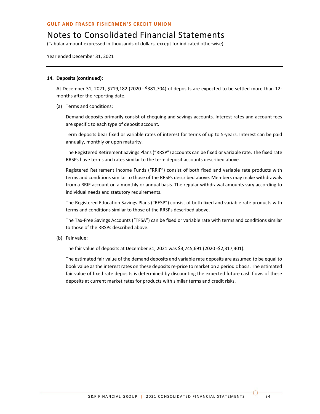(Tabular amount expressed in thousands of dollars, except for indicated otherwise)

Year ended December 31, 2021

#### **14. Deposits (continued):**

At December 31, 2021, \$719,182 (2020 - \$381,704) of deposits are expected to be settled more than 12 months after the reporting date.

(a) Terms and conditions:

Demand deposits primarily consist of chequing and savings accounts. Interest rates and account fees are specific to each type of deposit account.

Term deposits bear fixed or variable rates of interest for terms of up to 5-years. Interest can be paid annually, monthly or upon maturity.

The Registered Retirement Savings Plans ("RRSP") accounts can be fixed or variable rate. The fixed rate RRSPs have terms and rates similar to the term deposit accounts described above.

Registered Retirement Income Funds ("RRIF") consist of both fixed and variable rate products with terms and conditions similar to those of the RRSPs described above. Members may make withdrawals from a RRIF account on a monthly or annual basis. The regular withdrawal amounts vary according to individual needs and statutory requirements.

The Registered Education Savings Plans ("RESP") consist of both fixed and variable rate products with terms and conditions similar to those of the RRSPs described above.

The Tax-Free Savings Accounts ("TFSA") can be fixed or variable rate with terms and conditions similar to those of the RRSPs described above.

(b) Fair value:

The fair value of deposits at December 31, 2021 was \$3,745,691 (2020 -\$2,317,401).

The estimated fair value of the demand deposits and variable rate deposits are assumed to be equal to book value as the interest rates on these deposits re-price to market on a periodic basis. The estimated fair value of fixed rate deposits is determined by discounting the expected future cash flows of these deposits at current market rates for products with similar terms and credit risks.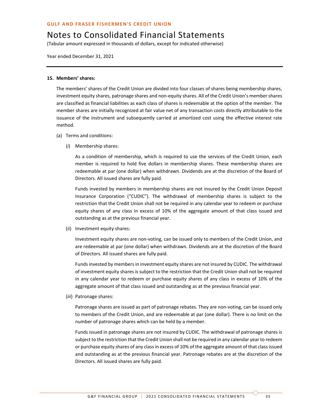(Tabular amount expressed in thousands of dollars, except for indicated otherwise)

Year ended December 31, 2021

### **15. Members' shares:**

The members' shares of the Credit Union are divided into four classes of shares being membership shares, investment equity shares, patronage shares and non-equity shares. All of the Credit Union's member shares are classified as financial liabilities as each class of shares is redeemable at the option of the member. The member shares are initially recognized at fair value net of any transaction costs directly attributable to the issuance of the instrument and subsequently carried at amortized cost using the effective interest rate method.

- (a) Terms and conditions:
	- (*i*) Membership shares:

As a condition of membership, which is required to use the services of the Credit Union, each member is required to hold five dollars in membership shares. These membership shares are redeemable at par (one dollar) when withdrawn. Dividends are at the discretion of the Board of Directors. All issued shares are fully paid.

Funds invested by members in membership shares are not insured by the Credit Union Deposit Insurance Corporation ("CUDIC"). The withdrawal of membership shares is subject to the restriction that the Credit Union shall not be required in any calendar year to redeem or purchase equity shares of any class in excess of 10% of the aggregate amount of that class issued and outstanding as at the previous financial year.

(*ii*) Investment equity shares:

Investment equity shares are non-voting, can be issued only to members of the Credit Union, and are redeemable at par (one dollar) when withdrawn. Dividends are at the discretion of the Board of Directors. All issued shares are fully paid.

Funds invested by members in investment equity shares are not insured by CUDIC. The withdrawal of investment equity shares is subject to the restriction that the Credit Union shall not be required in any calendar year to redeem or purchase equity shares of any class in excess of 10% of the aggregate amount of that class issued and outstanding as at the previous financial year.

(*iii*) Patronage shares:

Patronage shares are issued as part of patronage rebates. They are non-voting, can be issued only to members of the Credit Union, and are redeemable at par (one dollar). There is no limit on the number of patronage shares which can be held by a member.

Funds issued in patronage shares are not insured by CUDIC. The withdrawal of patronage shares is subject to the restriction that the Credit Union shall not be required in any calendar year to redeem or purchase equity shares of any class in excess of 10% of the aggregate amount of that class issued and outstanding as at the previous financial year. Patronage rebates are at the discretion of the Directors. All issued shares are fully paid.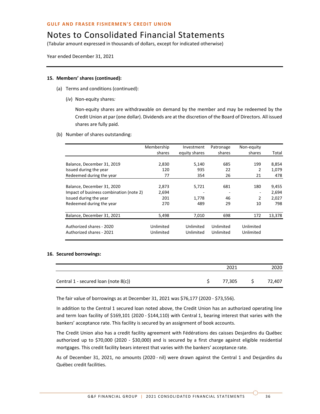(Tabular amount expressed in thousands of dollars, except for indicated otherwise)

Year ended December 31, 2021

### **15. Members' shares (continued):**

- (a) Terms and conditions (continued):
	- (*iv*) Non-equity shares*:*

Non-equity shares are withdrawable on demand by the member and may be redeemed by the Credit Union at par (one dollar). Dividends are at the discretion of the Board of Directors. All issued shares are fully paid.

(b) Number of shares outstanding:

|                                         | Membership | Investment    | Patronage | Non-equity |        |
|-----------------------------------------|------------|---------------|-----------|------------|--------|
|                                         | shares     | equity shares | shares    | shares     | Total  |
|                                         |            |               |           |            |        |
| Balance, December 31, 2019              | 2,830      | 5,140         | 685       | 199        | 8,854  |
| Issued during the year                  | 120        | 935           | 22        | 2          | 1,079  |
| Redeemed during the year                | 77         | 354           | 26        | 21         | 478    |
|                                         |            |               |           |            |        |
| Balance, December 31, 2020              | 2,873      | 5,721         | 681       | 180        | 9,455  |
| Impact of business combination (note 2) | 2,694      |               |           |            | 2,694  |
| Issued during the year                  | 201        | 1,778         | 46        | 2          | 2,027  |
| Redeemed during the year                | 270        | 489           | 29        | 10         | 798    |
|                                         |            |               |           |            |        |
| Balance, December 31, 2021              | 5,498      | 7,010         | 698       | 172        | 13,378 |
| Authorized shares - 2020                | Unlimited  | Unlimited     | Unlimited | Unlimited  |        |
|                                         |            |               |           |            |        |
| Authorized shares - 2021                | Unlimited  | Unlimited     | Unlimited | Unlimited  |        |

#### **16. Secured borrowings:**

|                                      | 2021   | 2020   |
|--------------------------------------|--------|--------|
| Central 1 - secured loan (note 8(c)) | 77.305 | 72.407 |

The fair value of borrowings as at December 31, 2021 was \$76,177 (2020 - \$73,556).

In addition to the Central 1 secured loan noted above, the Credit Union has an authorized operating line and term loan facility of \$169,101 (2020 - \$144,110) with Central 1, bearing interest that varies with the bankers' acceptance rate. This facility is secured by an assignment of book accounts.

The Credit Union also has a credit facility agreement with Fédérations des caisses Desjardins du Québec authorized up to \$70,000 (2020 - \$30,000) and is secured by a first charge against eligible residential mortgages. This credit facility bears interest that varies with the bankers' acceptance rate.

As of December 31, 2021, no amounts (2020 - nil) were drawn against the Central 1 and Desjardins du Québec credit facilities.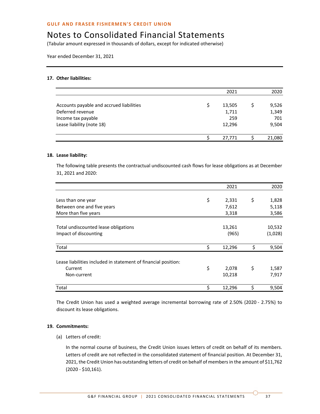### Notes to Consolidated Financial Statements

(Tabular amount expressed in thousands of dollars, except for indicated otherwise)

Year ended December 31, 2021

### **17. Other liabilities:**

|                                          |   | 2021   | 2020   |
|------------------------------------------|---|--------|--------|
| Accounts payable and accrued liabilities | S | 13,505 | 9,526  |
| Deferred revenue                         |   | 1,711  | 1,349  |
| Income tax payable                       |   | 259    | 701    |
| Lease liability (note 18)                |   | 12,296 | 9,504  |
|                                          |   | 27,771 | 21,080 |

### **18. Lease liability:**

The following table presents the contractual undiscounted cash flows for lease obligations as at December 31, 2021 and 2020:

|                                                                | 2021            | 2020              |
|----------------------------------------------------------------|-----------------|-------------------|
| Less than one year                                             | \$<br>2,331     | \$<br>1,828       |
| Between one and five years                                     | 7,612           | 5,118             |
| More than five years                                           | 3,318           | 3,586             |
| Total undiscounted lease obligations<br>Impact of discounting  | 13,261<br>(965) | 10,532<br>(1,028) |
| Total                                                          | \$<br>12,296    | \$<br>9,504       |
| Lease liabilities included in statement of financial position: |                 |                   |
| Current                                                        | \$<br>2,078     | \$<br>1,587       |
| Non-current                                                    | 10,218          | 7,917             |
| Total                                                          | \$<br>12,296    | \$<br>9,504       |

The Credit Union has used a weighted average incremental borrowing rate of 2.50% (2020 - 2.75%) to discount its lease obligations.

### **19. Commitments:**

(a) Letters of credit:

In the normal course of business, the Credit Union issues letters of credit on behalf of its members. Letters of credit are not reflected in the consolidated statement of financial position. At December 31, 2021, the Credit Union has outstanding letters of credit on behalf of members in the amount of \$11,762 (2020 - \$10,161).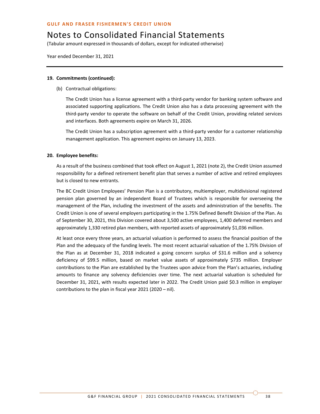(Tabular amount expressed in thousands of dollars, except for indicated otherwise)

Year ended December 31, 2021

### **19. Commitments (continued):**

(b) Contractual obligations:

The Credit Union has a license agreement with a third-party vendor for banking system software and associated supporting applications. The Credit Union also has a data processing agreement with the third-party vendor to operate the software on behalf of the Credit Union, providing related services and interfaces. Both agreements expire on March 31, 2026.

The Credit Union has a subscription agreement with a third-party vendor for a customer relationship management application. This agreement expires on January 13, 2023.

### **20. Employee benefits:**

As a result of the business combined that took effect on August 1, 2021 (note 2), the Credit Union assumed responsibility for a defined retirement benefit plan that serves a number of active and retired employees but is closed to new entrants.

The BC Credit Union Employees' Pension Plan is a contributory, multiemployer, multidivisional registered pension plan governed by an independent Board of Trustees which is responsible for overseeing the management of the Plan, including the investment of the assets and administration of the benefits. The Credit Union is one of several employers participating in the 1.75% Defined Benefit Division of the Plan. As of September 30, 2021, this Division covered about 3,500 active employees, 1,400 deferred members and approximately 1,330 retired plan members, with reported assets of approximately \$1,036 million.

At least once every three years, an actuarial valuation is performed to assess the financial position of the Plan and the adequacy of the funding levels. The most recent actuarial valuation of the 1.75% Division of the Plan as at December 31, 2018 indicated a going concern surplus of \$31.6 million and a solvency deficiency of \$99.5 million, based on market value assets of approximately \$735 million. Employer contributions to the Plan are established by the Trustees upon advice from the Plan's actuaries, including amounts to finance any solvency deficiencies over time. The next actuarial valuation is scheduled for December 31, 2021, with results expected later in 2022. The Credit Union paid \$0.3 million in employer contributions to the plan in fiscal year 2021 (2020 – nil).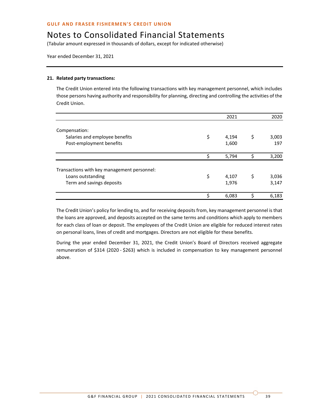(Tabular amount expressed in thousands of dollars, except for indicated otherwise)

Year ended December 31, 2021

### **21. Related party transactions:**

The Credit Union entered into the following transactions with key management personnel, which includes those persons having authority and responsibility for planning, directing and controlling the activities of the Credit Union.

|                                             | 2021        | 2020        |
|---------------------------------------------|-------------|-------------|
| Compensation:                               |             |             |
| Salaries and employee benefits              | \$<br>4,194 | \$<br>3,003 |
| Post-employment benefits                    | 1,600       | 197         |
|                                             | 5,794       | 3,200       |
| Transactions with key management personnel: |             |             |
| Loans outstanding                           | \$<br>4,107 | \$<br>3,036 |
| Term and savings deposits                   | 1,976       | 3,147       |
|                                             | 6,083       | 6,183       |

The Credit Union's policy for lending to, and for receiving deposits from, key management personnel is that the loans are approved, and deposits accepted on the same terms and conditions which apply to members for each class of loan or deposit. The employees of the Credit Union are eligible for reduced interest rates on personal loans, lines of credit and mortgages. Directors are not eligible for these benefits.

During the year ended December 31, 2021, the Credit Union's Board of Directors received aggregate remuneration of \$314 (2020 - \$263) which is included in compensation to key management personnel above.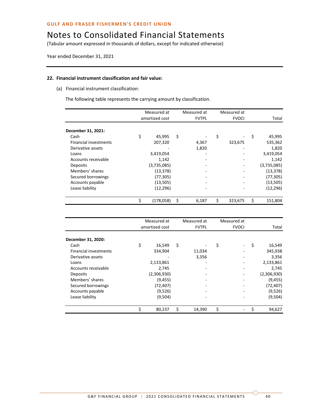(Tabular amount expressed in thousands of dollars, except for indicated otherwise)

Year ended December 31, 2021

### **22. Financial instrument classification and fair value:**

(a) Financial instrument classification:

The following table represents the carrying amount by classification.

|                              | Measured at    | Measured at  | Measured at  |         |               |
|------------------------------|----------------|--------------|--------------|---------|---------------|
|                              | amortized cost | <b>FVTPL</b> | <b>FVOCI</b> |         | Total         |
| December 31, 2021:           |                |              |              |         |               |
| Cash                         | \$<br>45,995   | \$           | \$           |         | \$<br>45,995  |
| <b>Financial investments</b> | 207,320        | 4,367        |              | 323,675 | 535,362       |
| Derivative assets            |                | 1,820        |              |         | 1,820         |
| Loans                        | 3,419,054      |              |              |         | 3,419,054     |
| Accounts receivable          | 1,142          |              |              |         | 1,142         |
| Deposits                     | (3,735,085)    | -            |              |         | (3,735,085)   |
| Members' shares              | (13, 378)      |              |              |         | (13, 378)     |
| Secured borrowings           | (77, 305)      |              |              |         | (77, 305)     |
| Accounts payable             | (13, 505)      | -            |              |         | (13, 505)     |
| Lease liability              | (12, 296)      |              |              |         | (12, 296)     |
|                              | (178,058)      | \$<br>6,187  | \$           | 323,675 | \$<br>151,804 |

|                              | Measured at    | Measured at  | Measured at  |              |
|------------------------------|----------------|--------------|--------------|--------------|
|                              | amortized cost | <b>FVTPL</b> | <b>FVOCI</b> | Total        |
| December 31, 2020:           |                |              |              |              |
| Cash                         | \$<br>16,549   | \$           | \$           | \$<br>16,549 |
| <b>Financial investments</b> | 334,904        | 11,034       |              | 345,938      |
| Derivative assets            |                | 3,356        |              | 3,356        |
| Loans                        | 2,133,861      |              |              | 2,133,861    |
| Accounts receivable          | 2,745          |              |              | 2,745        |
| Deposits                     | (2,306,930)    |              |              | (2,306,930)  |
| Members' shares              | (9, 455)       |              |              | (9, 455)     |
| Secured borrowings           | (72, 407)      |              |              | (72, 407)    |
| Accounts payable             | (9,526)        |              |              | (9,526)      |
| Lease liability              | (9,504)        |              |              | (9,504)      |
|                              | \$<br>80,237   | \$<br>14,390 | \$           | 94,627       |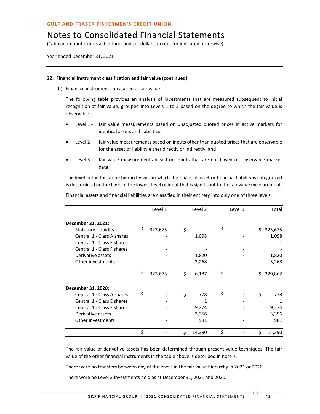(Tabular amount expressed in thousands of dollars, except for indicated otherwise)

Year ended December 31, 2021

### **22. Financial instrument classification and fair value (continued):**

(b) Financial instruments measured at fair value:

The following table provides an analysis of investments that are measured subsequent to initial recognition at fair value, grouped into Levels 1 to 3 based on the degree to which the fair value is observable:

- Level 1 fair value measurements based on unadjusted quoted prices in active markets for identical assets and liabilities;
- Level 2 fair value measurements based on inputs other than quoted prices that are observable for the asset or liability either directly or indirectly; and
- Level 3 fair value measurements based on inputs that are not based on observable market data.

The level in the fair value hierarchy within which the financial asset or financial liability is categorized is determined on the basis of the lowest level of input that is significant to the fair value measurement.

Financial assets and financial liabilities are classified in their entirety into only one of three levels:

|                            | Level 1       |    | Level 2 | Level 3 |    | Total   |
|----------------------------|---------------|----|---------|---------|----|---------|
| December 31, 2021:         |               |    |         |         |    |         |
| Statutory Liquidity        | \$<br>323,675 | \$ |         | \$      | Ś. | 323,675 |
| Central 1 - Class A shares |               |    | 1,098   |         |    | 1,098   |
| Central 1 - Class E shares |               |    | 1       |         |    | 1       |
| Central 1 - Class F shares |               |    |         |         |    |         |
| Derivative assets          |               |    | 1,820   |         |    | 1,820   |
| Other investments          |               |    | 3,268   |         |    | 3,268   |
|                            | \$<br>323,675 | \$ | 6,187   | \$      | \$ | 329,862 |
| December 31, 2020:         |               |    |         |         |    |         |
| Central 1 - Class A shares | \$            | \$ | 778     | \$      | \$ | 778     |
| Central 1 - Class E shares |               |    | 1       |         |    | 1       |
| Central 1 - Class F shares |               |    | 9,274   |         |    | 9,274   |
| Derivative assets          |               |    | 3,356   |         |    | 3,356   |
| Other investments          |               |    | 981     |         |    | 981     |
|                            | \$            | Ś  | 14,390  | \$      | \$ | 14,390  |

The fair value of derivative assets has been determined through present value techniques. The fair value of the other financial instruments in the table above is described in note 7.

There were no transfers between any of the levels in the fair value hierarchy in 2021 or 2020.

There were no Level 3 investments held as at December 31, 2021 and 2020.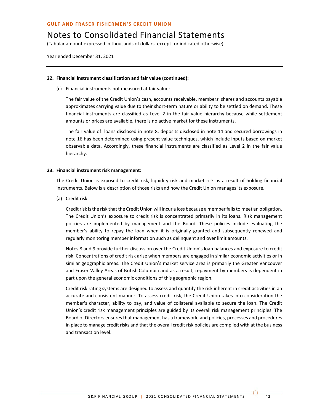(Tabular amount expressed in thousands of dollars, except for indicated otherwise)

Year ended December 31, 2021

### **22. Financial instrument classification and fair value (continued):**

(c) Financial instruments not measured at fair value:

The fair value of the Credit Union's cash, accounts receivable, members' shares and accounts payable approximates carrying value due to their short-term nature or ability to be settled on demand. These financial instruments are classified as Level 2 in the fair value hierarchy because while settlement amounts or prices are available, there is no active market for these instruments.

The fair value of: loans disclosed in note 8, deposits disclosed in note 14 and secured borrowings in note 16 has been determined using present value techniques, which include inputs based on market observable data. Accordingly, these financial instruments are classified as Level 2 in the fair value hierarchy.

### **23. Financial instrument risk management:**

The Credit Union is exposed to credit risk, liquidity risk and market risk as a result of holding financial instruments. Below is a description of those risks and how the Credit Union manages its exposure.

(a) Credit risk:

Credit risk is the risk that the Credit Union will incur a loss because a member fails to meet an obligation. The Credit Union's exposure to credit risk is concentrated primarily in its loans. Risk management policies are implemented by management and the Board. These policies include evaluating the member's ability to repay the loan when it is originally granted and subsequently renewed and regularly monitoring member information such as delinquent and over limit amounts.

Notes 8 and 9 provide further discussion over the Credit Union's loan balances and exposure to credit risk. Concentrations of credit risk arise when members are engaged in similar economic activities or in similar geographic areas. The Credit Union's market service area is primarily the Greater Vancouver and Fraser Valley Areas of British Columbia and as a result, repayment by members is dependent in part upon the general economic conditions of this geographic region.

Credit risk rating systems are designed to assess and quantify the risk inherent in credit activities in an accurate and consistent manner. To assess credit risk, the Credit Union takes into consideration the member's character, ability to pay, and value of collateral available to secure the loan. The Credit Union's credit risk management principles are guided by its overall risk management principles. The Board of Directors ensures that management has a framework, and policies, processes and procedures in place to manage credit risks and that the overall credit risk policies are complied with at the business and transaction level.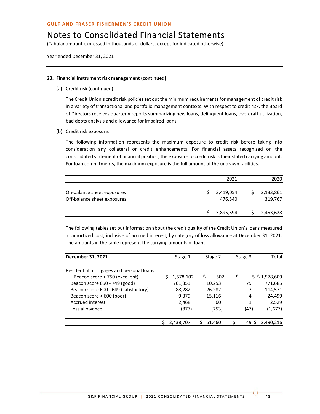### Notes to Consolidated Financial Statements

(Tabular amount expressed in thousands of dollars, except for indicated otherwise)

Year ended December 31, 2021

### **23. Financial instrument risk management (continued):**

(a) Credit risk (continued):

The Credit Union's credit risk policies set out the minimum requirements for management of credit risk in a variety of transactional and portfolio management contexts. With respect to credit risk, the Board of Directors receives quarterly reports summarizing new loans, delinquent loans, overdraft utilization, bad debts analysis and allowance for impaired loans.

(b) Credit risk exposure:

The following information represents the maximum exposure to credit risk before taking into consideration any collateral or credit enhancements. For financial assets recognized on the consolidated statement of financial position, the exposure to credit risk istheir stated carrying amount. For loan commitments, the maximum exposure is the full amount of the undrawn facilities.

|                                                           | 2021                 | 2020                 |
|-----------------------------------------------------------|----------------------|----------------------|
| On-balance sheet exposures<br>Off-balance sheet exposures | 3,419,054<br>476,540 | 2,133,861<br>319,767 |
|                                                           | 3,895,594            | 2,453,628            |

The following tables set out information about the credit quality of the Credit Union's loans measured at amortized cost, inclusive of accrued interest, by category of loss allowance at December 31, 2021. The amounts in the table represent the carrying amounts of loans.

| December 31, 2021                         | Stage 1   | Stage 2   | Stage 3 | Total            |
|-------------------------------------------|-----------|-----------|---------|------------------|
| Residential mortgages and personal loans: |           |           |         |                  |
| Beacon score > 750 (excellent)            | 1,578,102 | Ŝ.<br>502 | \$      | $5$ \$ 1,578,609 |
| Beacon score 650 - 749 (good)             | 761,353   | 10,253    | 79      | 771,685          |
| Beacon score 600 - 649 (satisfactory)     | 88,282    | 26,282    |         | 114,571          |
| Beacon score < 600 (poor)                 | 9,379     | 15,116    | 4       | 24,499           |
| Accrued interest                          | 2,468     | 60        | 1       | 2,529            |
| Loss allowance                            | (877)     | (753)     | (47)    | (1,677)          |
|                                           | 2,438,707 | 51,460    | 49 S    | 2,490,216        |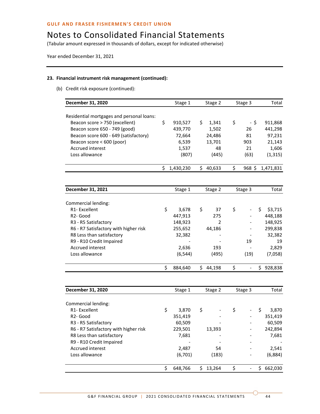(Tabular amount expressed in thousands of dollars, except for indicated otherwise)

Year ended December 31, 2021

### **23. Financial instrument risk management (continued):**

(b) Credit risk exposure (continued):

| December 31, 2020                         |    | Stage 1   | Stage 2      | Stage 3              | Total |           |
|-------------------------------------------|----|-----------|--------------|----------------------|-------|-----------|
|                                           |    |           |              |                      |       |           |
| Residential mortgages and personal loans: |    |           |              |                      |       |           |
| Beacon score > 750 (excellent)            | \$ | 910,527   | \$<br>1,341  | \$<br>- \$           |       | 911,868   |
| Beacon score 650 - 749 (good)             |    | 439,770   | 1,502        | 26                   |       | 441,298   |
| Beacon score 600 - 649 (satisfactory)     |    | 72,664    | 24,486       | 81                   |       | 97,231    |
| Beacon score < 600 (poor)                 |    | 6,539     | 13,701       | 903                  |       | 21,143    |
| <b>Accrued interest</b>                   |    | 1,537     | 48           | 21                   |       | 1,606     |
| Loss allowance                            |    | (807)     | (445)        | (63)                 |       | (1, 315)  |
|                                           | \$ | 1,430,230 | \$40,633     | \$<br>$968$ \$       |       | 1,471,831 |
|                                           |    |           |              |                      |       |           |
| December 31, 2021                         |    | Stage 1   | Stage 2      | Stage 3              |       | Total     |
| Commercial lending:                       |    |           |              |                      |       |           |
| R1-Excellent                              | \$ | 3,678     | \$<br>37     | \$                   | \$    | \$3,715   |
| R <sub>2</sub> - Good                     |    | 447,913   | 275          |                      |       | 448,188   |
| R3 - R5 Satisfactory                      |    | 148,923   | 2            |                      |       | 148,925   |
| R6 - R7 Satisfactory with higher risk     |    | 255,652   | 44,186       | $\overline{a}$       |       | 299,838   |
| R8 Less than satisfactory                 |    | 32,382    |              |                      |       | 32,382    |
| R9 - R10 Credit Impaired                  |    |           |              | 19                   |       | 19        |
| Accrued interest                          |    | 2,636     | 193          |                      |       | 2,829     |
| Loss allowance                            |    | (6, 544)  | (495)        | (19)                 |       | (7,058)   |
|                                           |    |           |              |                      |       |           |
|                                           | \$ | 884,640   | \$<br>44,198 | \$<br>$\overline{a}$ | \$    | 928,838   |
|                                           |    |           |              |                      |       |           |
| December 31, 2020                         |    | Stage 1   | Stage 2      | Stage 3              |       | Total     |
|                                           |    |           |              |                      |       |           |
| Commercial lending:                       |    |           |              |                      |       |           |
| R1-Excellent                              | \$ | 3,870     | \$           | \$                   | \$    | 3,870     |
| R <sub>2</sub> - Good                     |    | 351,419   |              |                      |       | 351,419   |
| R3 - R5 Satisfactory                      |    | 60,509    |              |                      |       | 60,509    |
| R6 - R7 Satisfactory with higher risk     |    | 229,501   | 13,393       |                      |       | 242,894   |
| R8 Less than satisfactory                 |    | 7,681     |              |                      |       | 7,681     |
| R9 - R10 Credit Impaired                  |    |           |              |                      |       |           |
| Accrued interest                          |    | 2,487     | 54           |                      |       | 2,541     |
| Loss allowance                            |    | (6,701)   | (183)        |                      |       | (6,884)   |
|                                           | \$ | 648,766   | \$<br>13,264 | \$<br>$\frac{1}{2}$  | \$    | 662,030   |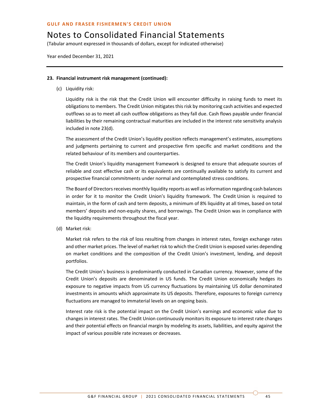# Notes to Consolidated Financial Statements

(Tabular amount expressed in thousands of dollars, except for indicated otherwise)

Year ended December 31, 2021

### **23. Financial instrument risk management (continued):**

(c) Liquidity risk:

Liquidity risk is the risk that the Credit Union will encounter difficulty in raising funds to meet its obligations to members. The Credit Union mitigates this risk by monitoring cash activities and expected outflows so as to meet all cash outflow obligations as they fall due. Cash flows payable under financial liabilities by their remaining contractual maturities are included in the interest rate sensitivity analysis included in note 23(d).

The assessment of the Credit Union's liquidity position reflects management's estimates, assumptions and judgments pertaining to current and prospective firm specific and market conditions and the related behaviour of its members and counterparties.

The Credit Union's liquidity management framework is designed to ensure that adequate sources of reliable and cost effective cash or its equivalents are continually available to satisfy its current and prospective financial commitments under normal and contemplated stress conditions.

The Board of Directors receives monthly liquidity reports as well as information regarding cash balances in order for it to monitor the Credit Union's liquidity framework. The Credit Union is required to maintain, in the form of cash and term deposits, a minimum of 8% liquidity at all times, based on total members' deposits and non-equity shares, and borrowings. The Credit Union was in compliance with the liquidity requirements throughout the fiscal year.

(d) Market risk:

Market risk refers to the risk of loss resulting from changes in interest rates, foreign exchange rates and other market prices. The level of market risk to which the Credit Union is exposed varies depending on market conditions and the composition of the Credit Union's investment, lending, and deposit portfolios.

The Credit Union's business is predominantly conducted in Canadian currency. However, some of the Credit Union's deposits are denominated in US funds. The Credit Union economically hedges its exposure to negative impacts from US currency fluctuations by maintaining US dollar denominated investments in amounts which approximate its US deposits. Therefore, exposures to foreign currency fluctuations are managed to immaterial levels on an ongoing basis.

Interest rate risk is the potential impact on the Credit Union's earnings and economic value due to changes in interest rates. The Credit Union continuously monitors its exposure to interest rate changes and their potential effects on financial margin by modeling its assets, liabilities, and equity against the impact of various possible rate increases or decreases.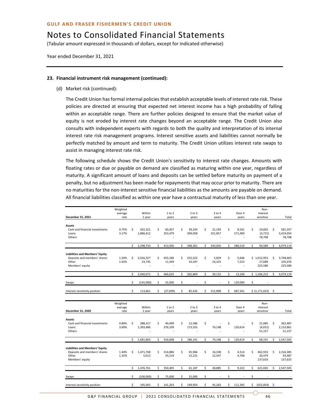### Notes to Consolidated Financial Statements

(Tabular amount expressed in thousands of dollars, except for indicated otherwise)

Year ended December 31, 2021

#### **23. Financial instrument risk management (continued):**

(d) Market risk (continued):

The Credit Union has formal internal policies that establish acceptable levels of interest rate risk. These policies are directed at ensuring that expected net interest income has a high probability of falling within an acceptable range. There are further policies designed to ensure that the market value of equity is not eroded by interest rate changes beyond an acceptable range. The Credit Union also consults with independent experts with regards to both the quality and interpretation of its internal interest rate risk management programs. Interest sensitive assets and liabilities cannot normally be perfectly matched by amount and term to maturity. The Credit Union utilizes interest rate swaps to assist in managing interest rate risk.

The following schedule shows the Credit Union's sensitivity to interest rate changes. Amounts with floating rates or due or payable on demand are classified as maturing within one year, regardless of maturity. A significant amount of loans and deposits can be settled before maturity on payment of a penalty, but no adjustment has been made for repayments that may occur prior to maturity. There are no maturities for the non-interest sensitive financial liabilities as the amounts are payable on demand. All financial liabilities classified as within one year have a contractual maturity of less than one year.

| December 31, 2021                                                                                  | Weighted<br>average<br>rate |    | Within<br>1 year     |     | 1 to 2<br>years         |    | $2$ to $3$<br>years     |    | $3$ to $4$<br>years   |    | Over 4<br>years  |    | Non-<br>interest<br>sensitive    |    | Total                           |
|----------------------------------------------------------------------------------------------------|-----------------------------|----|----------------------|-----|-------------------------|----|-------------------------|----|-----------------------|----|------------------|----|----------------------------------|----|---------------------------------|
|                                                                                                    |                             |    |                      |     |                         |    |                         |    |                       |    |                  |    |                                  |    |                                 |
| <b>Assets</b><br>Cash and financial investments<br>Loans<br>Others                                 | 0.75%<br>3.17%              | \$ | 432,321<br>1,866,412 | \$  | 60,457<br>353,479       | \$ | 39,243<br>309,058       | \$ | 21,193<br>321,857     | \$ | 8,541<br>571,969 | \$ | 19,602<br>(3, 721)<br>78,708     | \$ | 581,357<br>3,419,054<br>78,708  |
|                                                                                                    |                             | \$ | 2,298,733            | Ś   | 413,936                 | \$ | 348,301                 | \$ | 343,050               | \$ | 580,510          | \$ | 94,589                           | Ś  | 4,079,119                       |
| <b>Liabilities and Members' Equity</b><br>Deposits and members' shares<br>Other<br>Members' equity | 1.24%<br>1.63%              | Ś  | 2.016.327<br>23,745  | Ś   | 455.186<br>11,449<br>÷. | \$ | 252.522<br>10,347<br>ä, | \$ | 5.829<br>24,323<br>÷. | Ś  | 5.646<br>7,523   |    | \$1.012.953<br>27,689<br>225,580 | Ś  | 3,748,463<br>105,076<br>225,580 |
|                                                                                                    |                             | \$ | 2,040,072            | \$  | 466,635                 | \$ | 262,869                 | \$ | 30,152                | \$ | 13,169           |    | \$1,266,222                      | \$ | 4,079,119                       |
| Swaps                                                                                              |                             | \$ | (145,000)            | \$  | 25,000                  | \$ |                         | \$ |                       | \$ | 120,000          | \$ |                                  |    |                                 |
| Interest sensitivity position                                                                      |                             | \$ | 113,661              | Ś   | (27, 699)               | \$ | 85,432                  | Ś. | 312,898               | Ś. | 687,341          |    | \$ (1,171,633)                   | Ś  |                                 |
|                                                                                                    |                             |    |                      |     |                         |    |                         |    |                       |    |                  |    |                                  |    |                                 |
| December 31, 2020                                                                                  | Weighted<br>average<br>rate |    | Within<br>1 year     |     | 1 to 2<br>years         |    | $2$ to $3$<br>years     |    | $3$ to $4$<br>years   |    | Over 4<br>years  |    | Non-<br>interest<br>sensitive    |    | Total                           |
| <b>Assets</b><br>Cash and financial investments<br>Loans<br>Others                                 | 0.80%<br>3.69%              | \$ | 288,317<br>1,393,486 | Ś   | 40,499<br>376,109       | \$ | 12,586<br>173,555       | \$ | 74,148                | \$ | 120,614          | Ś  | 21,085<br>(4,051)<br>51,157      | \$ | 362,487<br>2,133,861<br>51,157  |
|                                                                                                    |                             | Ś  | 1.681.803            | Ś   | 416.608                 | Ś  | 186.141                 | \$ | 74.148                | \$ | 120.614          | Ś  | 68.191                           | Ś  | 2,547,505                       |
| <b>Liabilities and Members' Equity</b><br>Deposits and members' shares<br>Other<br>Members' equity | 1.44%<br>1.32%              | Ś  | 1,471,748<br>5,013   | Ś   | 314,886<br>35,519       | \$ | 45,966<br>15,221        | Ś. | 16,338<br>12,547      | \$ | 4,514<br>4,708   | Ś  | 462,933<br>20,479<br>137,633     | Ś  | 2,316,385<br>93,487<br>137,633  |
|                                                                                                    |                             | \$ | 1,476,761            | \$  | 350,405                 | \$ | 61,187                  | \$ | 28,885                | \$ | 9,222            | Ś  | 621,045                          | Ś  | 2,547,505                       |
| Swaps                                                                                              |                             | \$ | (100,000)            | \$  | 75,000                  | \$ | 25,000                  | \$ |                       | \$ |                  | \$ |                                  |    |                                 |
| Interest sensitivity position                                                                      |                             | Ś. | 105,042              | \$. | 141,203                 | Ś. | 149,954                 | Ś. | 45,263                | Ś  | 111,392          | Ś. | (552, 854)                       | Ś  |                                 |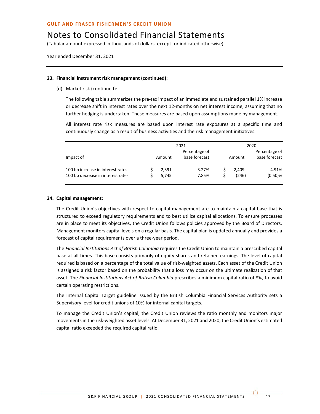(Tabular amount expressed in thousands of dollars, except for indicated otherwise)

Year ended December 31, 2021

### **23. Financial instrument risk management (continued):**

(d) Market risk (continued):

The following table summarizes the pre-tax impact of an immediate and sustained parallel 1% increase or decrease shift in interest rates over the next 12-months on net interest income, assuming that no further hedging is undertaken. These measures are based upon assumptions made by management.

All interest rate risk measures are based upon interest rate exposures at a specific time and continuously change as a result of business activities and the risk management initiatives.

|                                                                        |  |                | 2021                           | 2020           |                                |  |  |
|------------------------------------------------------------------------|--|----------------|--------------------------------|----------------|--------------------------------|--|--|
| Impact of                                                              |  | Amount         | Percentage of<br>base forecast | Amount         | Percentage of<br>base forecast |  |  |
| 100 bp increase in interest rates<br>100 bp decrease in interest rates |  | 2,391<br>5.745 | 3.27%<br>7.85%                 | 2.409<br>(246) | 4.91%<br>$(0.50)$ %            |  |  |

### **24. Capital management:**

The Credit Union's objectives with respect to capital management are to maintain a capital base that is structured to exceed regulatory requirements and to best utilize capital allocations. To ensure processes are in place to meet its objectives, the Credit Union follows policies approved by the Board of Directors. Management monitors capital levels on a regular basis. The capital plan is updated annually and provides a forecast of capital requirements over a three-year period.

The *Financial Institutions Act of British Columbia* requires the Credit Union to maintain a prescribed capital base at all times. This base consists primarily of equity shares and retained earnings. The level of capital required is based on a percentage of the total value of risk-weighted assets. Each asset of the Credit Union is assigned a risk factor based on the probability that a loss may occur on the ultimate realization of that asset. The *Financial Institutions Act of British Columbia* prescribes a minimum capital ratio of 8%, to avoid certain operating restrictions.

The Internal Capital Target guideline issued by the British Columbia Financial Services Authority sets a Supervisory level for credit unions of 10% for internal capital targets.

To manage the Credit Union's capital, the Credit Union reviews the ratio monthly and monitors major movements in the risk-weighted asset levels. At December 31, 2021 and 2020, the Credit Union's estimated capital ratio exceeded the required capital ratio.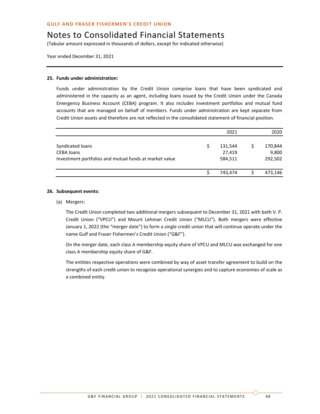(Tabular amount expressed in thousands of dollars, except for indicated otherwise)

Year ended December 31, 2021

### **25. Funds under administration:**

Funds under administration by the Credit Union comprise loans that have been syndicated and administered in the capacity as an agent, including loans issued by the Credit Union under the Canada Emergency Business Account (CEBA) program. It also includes investment portfolios and mutual fund accounts that are managed on behalf of members. Funds under administration are kept separate from Credit Union assets and therefore are not reflected in the consolidated statement of financial position.

|                                                                                                 | 2021                         | 2020                        |
|-------------------------------------------------------------------------------------------------|------------------------------|-----------------------------|
| Syndicated loans<br><b>CEBA</b> loans<br>Investment portfolios and mutual funds at market value | 131,544<br>27,419<br>584,511 | 170,844<br>9,800<br>292,502 |
|                                                                                                 | 743,474                      | 473,146                     |

#### **26. Subsequent events:**

#### (a) Mergers:

The Credit Union completed two additional mergers subsequent to December 31, 2021 with both V. P. Credit Union ("VPCU") and Mount Lehman Credit Union ("MLCU"). Both mergers were effective January 1, 2022 (the "merger date") to form a single credit union that will continue operate under the name Gulf and Fraser Fishermen's Credit Union ("G&F").

On the merger date, each class A membership equity share of VPCU and MLCU was exchanged for one class A membership equity share of G&F.

The entities respective operations were combined by way of asset transfer agreement to build on the strengths of each credit union to recognize operational synergies and to capture economies of scale as a combined entity.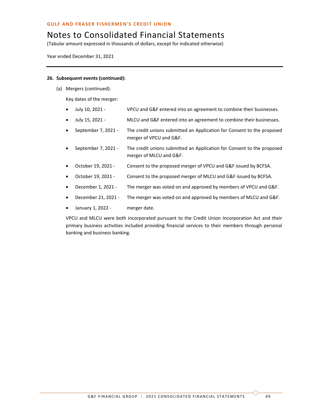### Notes to Consolidated Financial Statements

(Tabular amount expressed in thousands of dollars, except for indicated otherwise)

Year ended December 31, 2021

### **26. Subsequent events (continued):**

(a) Mergers (continued):

Key dates of the merger:

- July 10, 2021 VPCU and G&F entered into an agreement to combine their businesses.
- July 15, 2021 MLCU and G&F entered into an agreement to combine their businesses.
- September 7, 2021 The credit unions submitted an Application for Consent to the proposed merger of VPCU and G&F.
- September 7, 2021 The credit unions submitted an Application for Consent to the proposed merger of MLCU and G&F.
- October 19, 2021 Consent to the proposed merger of VPCU and G&F issued by BCFSA.
- October 19, 2021 Consent to the proposed merger of MLCU and G&F issued by BCFSA.
- December 1, 2021 The merger was voted on and approved by members of VPCU and G&F.
- December 21, 2021 The merger was voted on and approved by members of MLCU and G&F.
- January 1, 2022 merger date.

VPCU and MLCU were both incorporated pursuant to the Credit Union Incorporation Act and their primary business activities included providing financial services to their members through personal banking and business banking.